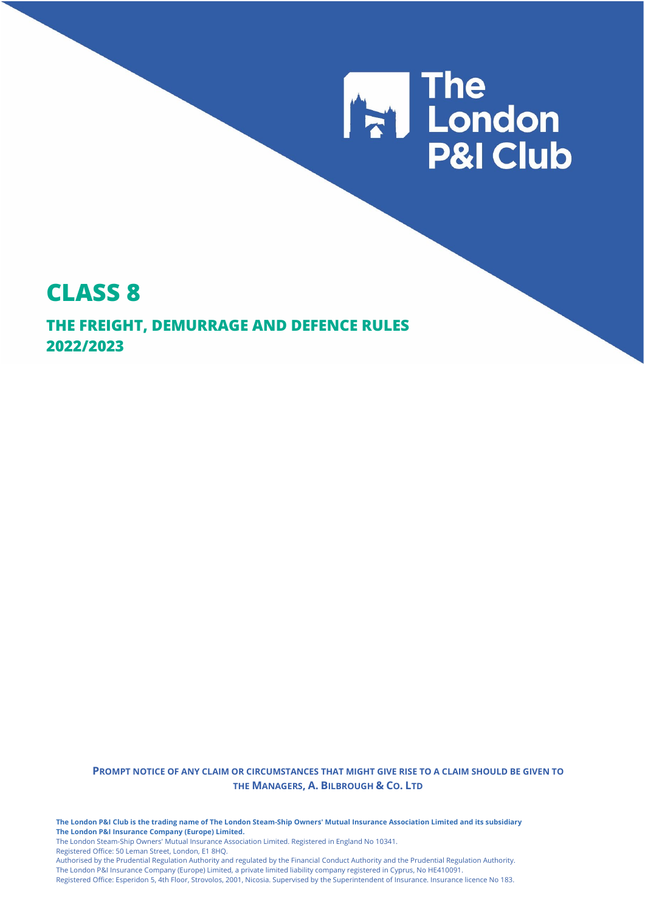

# **CLASS 8**

**THE FREIGHT, DEMURRAGE AND DEFENCE RULES 2022/2023**

> **PROMPT NOTICE OF ANY CLAIM OR CIRCUMSTANCES THAT MIGHT GIVE RISE TO A CLAIM SHOULD BE GIVEN TO THE MANAGERS, A. BILBROUGH & CO. LTD**

**The London P&I Club is the trading name of The London Steam-Ship Owners' Mutual Insurance Association Limited and its subsidiary The London P&I Insurance Company (Europe) Limited.**

The London Steam-Ship Owners' Mutual Insurance Association Limited. Registered in England No 10341.

Registered Office: 50 Leman Street, London, E1 8HQ.

Authorised by the Prudential Regulation Authority and regulated by the Financial Conduct Authority and the Prudential Regulation Authority. The London P&I Insurance Company (Europe) Limited, a private limited liability company registered in Cyprus, No HE410091.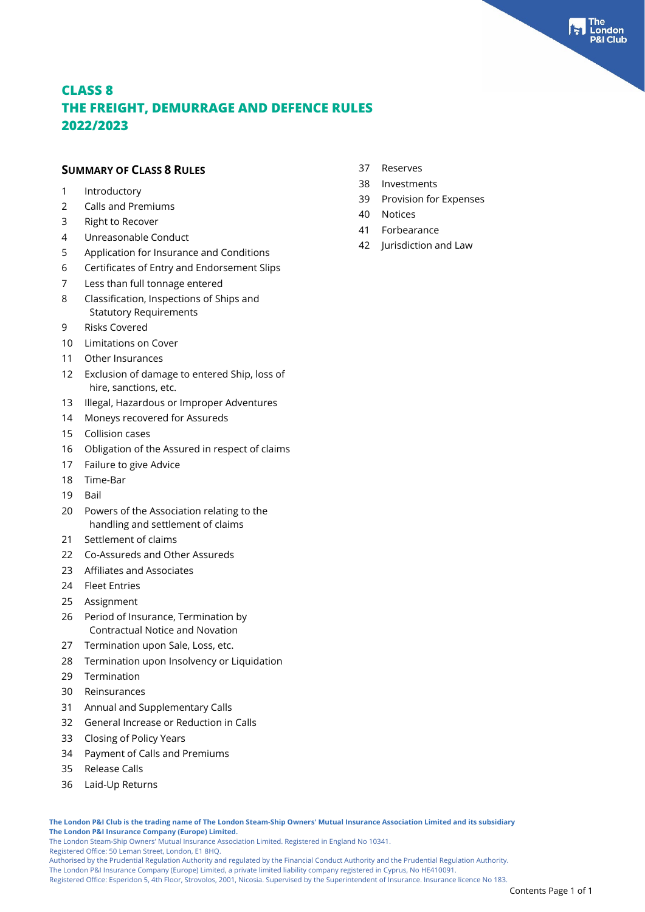ondon

 Reserves Investments

 Notices Forbearance

Provision for Expenses

Jurisdiction and Law

### **CLASS 8 THE FREIGHT, DEMURRAGE AND DEFENCE RULES 2022/2023**

#### **SUMMARY OF CLASS 8 RULES**

- Introductory
- Calls and Premiums
- Right to Recover
- Unreasonable Conduct
- Application for Insurance and Conditions
- Certificates of Entry and Endorsement Slips
- Less than full tonnage entered
- Classification, Inspections of Ships and Statutory Requirements
- Risks Covered
- Limitations on Cover
- Other Insurances
- Exclusion of damage to entered Ship, loss of hire, sanctions, etc.
- Illegal, Hazardous or Improper Adventures
- Moneys recovered for Assureds
- Collision cases
- Obligation of the Assured in respect of claims
- Failure to give Advice
- Time-Bar
- Bail
- Powers of the Association relating to the handling and settlement of claims
- Settlement of claims
- Co-Assureds and Other Assureds
- Affiliates and Associates
- Fleet Entries
- Assignment
- Period of Insurance, Termination by Contractual Notice and Novation
- Termination upon Sale, Loss, etc.
- Termination upon Insolvency or Liquidation
- Termination
- Reinsurances
- Annual and Supplementary Calls
- General Increase or Reduction in Calls
- Closing of Policy Years
- Payment of Calls and Premiums
- Release Calls
- Laid-Up Returns

**The London P&I Club is the trading name of The London Steam-Ship Owners' Mutual Insurance Association Limited and its subsidiary The London P&I Insurance Company (Europe) Limited.**

The London Steam-Ship Owners' Mutual Insurance Association Limited. Registered in England No 10341.

Registered Office: 50 Leman Street, London, E1 8HQ.

Authorised by the Prudential Regulation Authority and regulated by the Financial Conduct Authority and the Prudential Regulation Authority.

The London P&I Insurance Company (Europe) Limited, a private limited liability company registered in Cyprus, No HE410091.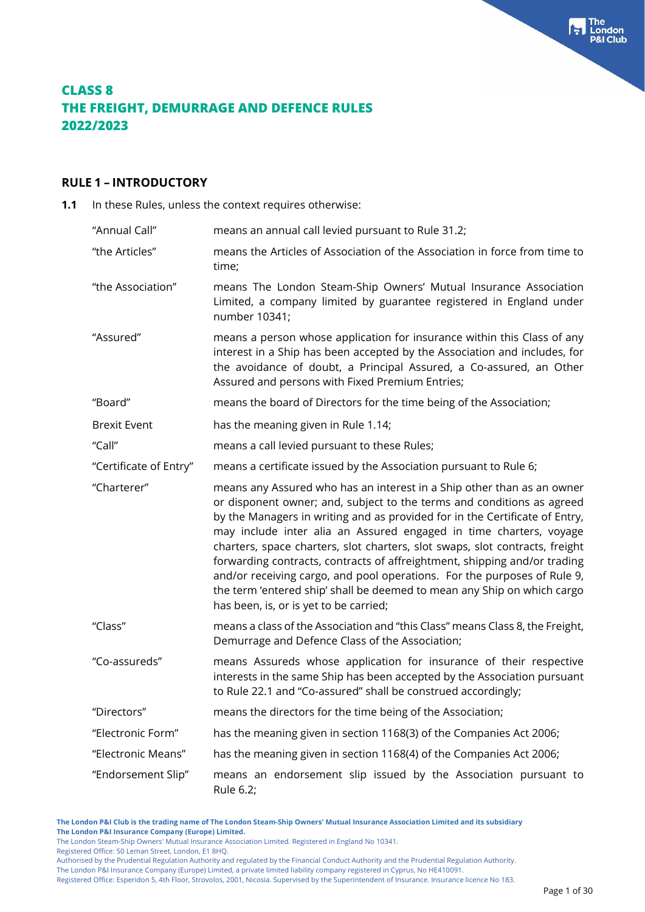#### **RULE 1 – INTRODUCTORY**

**1.1** In these Rules, unless the context requires otherwise:

| "Annual Call"          | means an annual call levied pursuant to Rule 31.2;                                                                                                                                                                                                                                                                                                                                                                                                                                                                                                                                                                                                                  |
|------------------------|---------------------------------------------------------------------------------------------------------------------------------------------------------------------------------------------------------------------------------------------------------------------------------------------------------------------------------------------------------------------------------------------------------------------------------------------------------------------------------------------------------------------------------------------------------------------------------------------------------------------------------------------------------------------|
| "the Articles"         | means the Articles of Association of the Association in force from time to<br>time;                                                                                                                                                                                                                                                                                                                                                                                                                                                                                                                                                                                 |
| "the Association"      | means The London Steam-Ship Owners' Mutual Insurance Association<br>Limited, a company limited by guarantee registered in England under<br>number 10341;                                                                                                                                                                                                                                                                                                                                                                                                                                                                                                            |
| "Assured"              | means a person whose application for insurance within this Class of any<br>interest in a Ship has been accepted by the Association and includes, for<br>the avoidance of doubt, a Principal Assured, a Co-assured, an Other<br>Assured and persons with Fixed Premium Entries;                                                                                                                                                                                                                                                                                                                                                                                      |
| "Board"                | means the board of Directors for the time being of the Association;                                                                                                                                                                                                                                                                                                                                                                                                                                                                                                                                                                                                 |
| <b>Brexit Event</b>    | has the meaning given in Rule 1.14;                                                                                                                                                                                                                                                                                                                                                                                                                                                                                                                                                                                                                                 |
| "Call"                 | means a call levied pursuant to these Rules;                                                                                                                                                                                                                                                                                                                                                                                                                                                                                                                                                                                                                        |
| "Certificate of Entry" | means a certificate issued by the Association pursuant to Rule 6;                                                                                                                                                                                                                                                                                                                                                                                                                                                                                                                                                                                                   |
| "Charterer"            | means any Assured who has an interest in a Ship other than as an owner<br>or disponent owner; and, subject to the terms and conditions as agreed<br>by the Managers in writing and as provided for in the Certificate of Entry,<br>may include inter alia an Assured engaged in time charters, voyage<br>charters, space charters, slot charters, slot swaps, slot contracts, freight<br>forwarding contracts, contracts of affreightment, shipping and/or trading<br>and/or receiving cargo, and pool operations. For the purposes of Rule 9,<br>the term 'entered ship' shall be deemed to mean any Ship on which cargo<br>has been, is, or is yet to be carried; |
| "Class"                | means a class of the Association and "this Class" means Class 8, the Freight,<br>Demurrage and Defence Class of the Association;                                                                                                                                                                                                                                                                                                                                                                                                                                                                                                                                    |
| "Co-assureds"          | means Assureds whose application for insurance of their respective<br>interests in the same Ship has been accepted by the Association pursuant<br>to Rule 22.1 and "Co-assured" shall be construed accordingly;                                                                                                                                                                                                                                                                                                                                                                                                                                                     |
| "Directors"            | means the directors for the time being of the Association;                                                                                                                                                                                                                                                                                                                                                                                                                                                                                                                                                                                                          |
| "Electronic Form"      | has the meaning given in section 1168(3) of the Companies Act 2006;                                                                                                                                                                                                                                                                                                                                                                                                                                                                                                                                                                                                 |
| "Electronic Means"     | has the meaning given in section 1168(4) of the Companies Act 2006;                                                                                                                                                                                                                                                                                                                                                                                                                                                                                                                                                                                                 |
| "Endorsement Slip"     | means an endorsement slip issued by the Association pursuant to<br>Rule 6.2;                                                                                                                                                                                                                                                                                                                                                                                                                                                                                                                                                                                        |

**The London P&I Club is the trading name of The London Steam-Ship Owners' Mutual Insurance Association Limited and its subsidiary The London P&I Insurance Company (Europe) Limited.** The London Steam-Ship Owners' Mutual Insurance Association Limited. Registered in England No 10341.

Registered Office: 50 Leman Street, London, E1 8HQ.

Authorised by the Prudential Regulation Authority and regulated by the Financial Conduct Authority and the Prudential Regulation Authority.

The London P&I Insurance Company (Europe) Limited, a private limited liability company registered in Cyprus, No HE410091.

Registered Office: Esperidon 5, 4th Floor, Strovolos, 2001, Nicosia. Supervised by the Superintendent of Insurance. Insurance licence No 183.

**The** London **Club**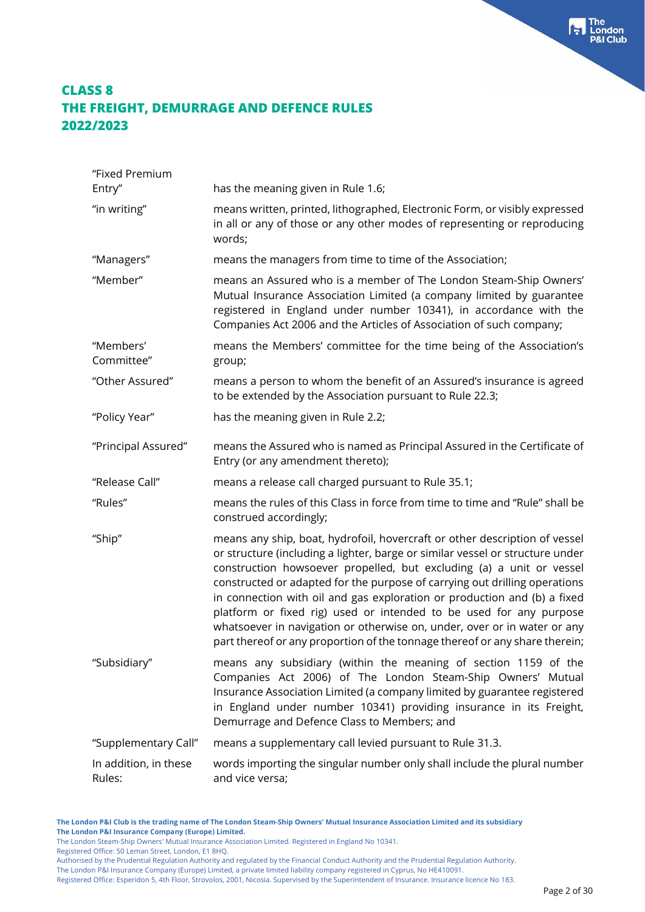| "Fixed Premium                  |                                                                                                                                                                                                                                                                                                                                                                                                                                                                                                                                                                                                                                |
|---------------------------------|--------------------------------------------------------------------------------------------------------------------------------------------------------------------------------------------------------------------------------------------------------------------------------------------------------------------------------------------------------------------------------------------------------------------------------------------------------------------------------------------------------------------------------------------------------------------------------------------------------------------------------|
| Entry"                          | has the meaning given in Rule 1.6;                                                                                                                                                                                                                                                                                                                                                                                                                                                                                                                                                                                             |
| "in writing"                    | means written, printed, lithographed, Electronic Form, or visibly expressed<br>in all or any of those or any other modes of representing or reproducing<br>words;                                                                                                                                                                                                                                                                                                                                                                                                                                                              |
| "Managers"                      | means the managers from time to time of the Association;                                                                                                                                                                                                                                                                                                                                                                                                                                                                                                                                                                       |
| "Member"                        | means an Assured who is a member of The London Steam-Ship Owners'<br>Mutual Insurance Association Limited (a company limited by guarantee<br>registered in England under number 10341), in accordance with the<br>Companies Act 2006 and the Articles of Association of such company;                                                                                                                                                                                                                                                                                                                                          |
| "Members'<br>Committee"         | means the Members' committee for the time being of the Association's<br>group;                                                                                                                                                                                                                                                                                                                                                                                                                                                                                                                                                 |
| "Other Assured"                 | means a person to whom the benefit of an Assured's insurance is agreed<br>to be extended by the Association pursuant to Rule 22.3;                                                                                                                                                                                                                                                                                                                                                                                                                                                                                             |
| "Policy Year"                   | has the meaning given in Rule 2.2;                                                                                                                                                                                                                                                                                                                                                                                                                                                                                                                                                                                             |
| "Principal Assured"             | means the Assured who is named as Principal Assured in the Certificate of<br>Entry (or any amendment thereto);                                                                                                                                                                                                                                                                                                                                                                                                                                                                                                                 |
| "Release Call"                  | means a release call charged pursuant to Rule 35.1;                                                                                                                                                                                                                                                                                                                                                                                                                                                                                                                                                                            |
| "Rules"                         | means the rules of this Class in force from time to time and "Rule" shall be<br>construed accordingly;                                                                                                                                                                                                                                                                                                                                                                                                                                                                                                                         |
| "Ship"                          | means any ship, boat, hydrofoil, hovercraft or other description of vessel<br>or structure (including a lighter, barge or similar vessel or structure under<br>construction howsoever propelled, but excluding (a) a unit or vessel<br>constructed or adapted for the purpose of carrying out drilling operations<br>in connection with oil and gas exploration or production and (b) a fixed<br>platform or fixed rig) used or intended to be used for any purpose<br>whatsoever in navigation or otherwise on, under, over or in water or any<br>part thereof or any proportion of the tonnage thereof or any share therein; |
| "Subsidiary"                    | means any subsidiary (within the meaning of section 1159 of the<br>Companies Act 2006) of The London Steam-Ship Owners' Mutual<br>Insurance Association Limited (a company limited by guarantee registered<br>in England under number 10341) providing insurance in its Freight,<br>Demurrage and Defence Class to Members; and                                                                                                                                                                                                                                                                                                |
| "Supplementary Call"            | means a supplementary call levied pursuant to Rule 31.3.                                                                                                                                                                                                                                                                                                                                                                                                                                                                                                                                                                       |
| In addition, in these<br>Rules: | words importing the singular number only shall include the plural number<br>and vice versa;                                                                                                                                                                                                                                                                                                                                                                                                                                                                                                                                    |

**The London P&I Club is the trading name of The London Steam-Ship Owners' Mutual Insurance Association Limited and its subsidiary The London P&I Insurance Company (Europe) Limited.** The London Steam-Ship Owners' Mutual Insurance Association Limited. Registered in England No 10341.

Registered Office: 50 Leman Street, London, E1 8HQ.

Authorised by the Prudential Regulation Authority and regulated by the Financial Conduct Authority and the Prudential Regulation Authority.

The London P&I Insurance Company (Europe) Limited, a private limited liability company registered in Cyprus, No HE410091.

Registered Office: Esperidon 5, 4th Floor, Strovolos, 2001, Nicosia. Supervised by the Superintendent of Insurance. Insurance licence No 183.

The<br> **Fall** London<br>
P&I Club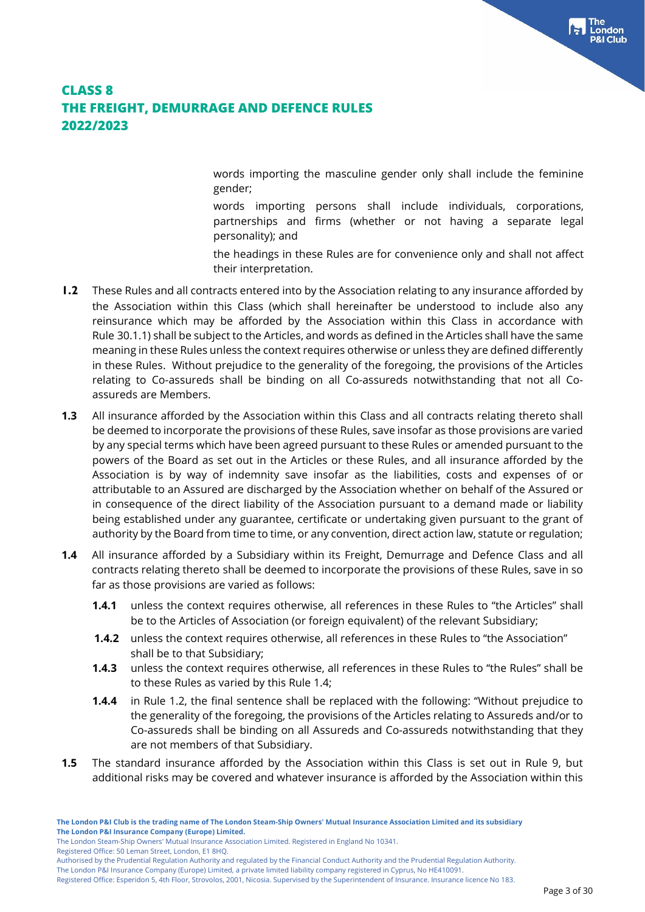words importing the masculine gender only shall include the feminine gender;

words importing persons shall include individuals, corporations, partnerships and firms (whether or not having a separate legal personality); and

the headings in these Rules are for convenience only and shall not affect their interpretation.

- **1.2** These Rules and all contracts entered into by the Association relating to any insurance afforded by the Association within this Class (which shall hereinafter be understood to include also any reinsurance which may be afforded by the Association within this Class in accordance with Rule 30.1.1) shall be subject to the Articles, and words as defined in the Articles shall have the same meaning in these Rules unless the context requires otherwise or unless they are defined differently in these Rules. Without prejudice to the generality of the foregoing, the provisions of the Articles relating to Co-assureds shall be binding on all Co-assureds notwithstanding that not all Coassureds are Members.
- **1.3** All insurance afforded by the Association within this Class and all contracts relating thereto shall be deemed to incorporate the provisions of these Rules, save insofar as those provisions are varied by any special terms which have been agreed pursuant to these Rules or amended pursuant to the powers of the Board as set out in the Articles or these Rules, and all insurance afforded by the Association is by way of indemnity save insofar as the liabilities, costs and expenses of or attributable to an Assured are discharged by the Association whether on behalf of the Assured or in consequence of the direct liability of the Association pursuant to a demand made or liability being established under any guarantee, certificate or undertaking given pursuant to the grant of authority by the Board from time to time, or any convention, direct action law, statute or regulation;
- **1.4** All insurance afforded by a Subsidiary within its Freight, Demurrage and Defence Class and all contracts relating thereto shall be deemed to incorporate the provisions of these Rules, save in so far as those provisions are varied as follows:
	- **1.4.1** unless the context requires otherwise, all references in these Rules to "the Articles" shall be to the Articles of Association (or foreign equivalent) of the relevant Subsidiary;
	- **1.4.2** unless the context requires otherwise, all references in these Rules to "the Association" shall be to that Subsidiary;
	- **1.4.3** unless the context requires otherwise, all references in these Rules to "the Rules" shall be to these Rules as varied by this Rule 1.4;
	- **1.4.4** in Rule 1.2, the final sentence shall be replaced with the following: "Without prejudice to the generality of the foregoing, the provisions of the Articles relating to Assureds and/or to Co-assureds shall be binding on all Assureds and Co-assureds notwithstanding that they are not members of that Subsidiary.
- **1.5** The standard insurance afforded by the Association within this Class is set out in Rule 9, but additional risks may be covered and whatever insurance is afforded by the Association within this

The London Steam-Ship Owners' Mutual Insurance Association Limited. Registered in England No 10341.

Registered Office: 50 Leman Street, London, E1 8HQ.

Authorised by the Prudential Regulation Authority and regulated by the Financial Conduct Authority and the Prudential Regulation Authority.

The London P&I Insurance Company (Europe) Limited, a private limited liability company registered in Cyprus, No HE410091.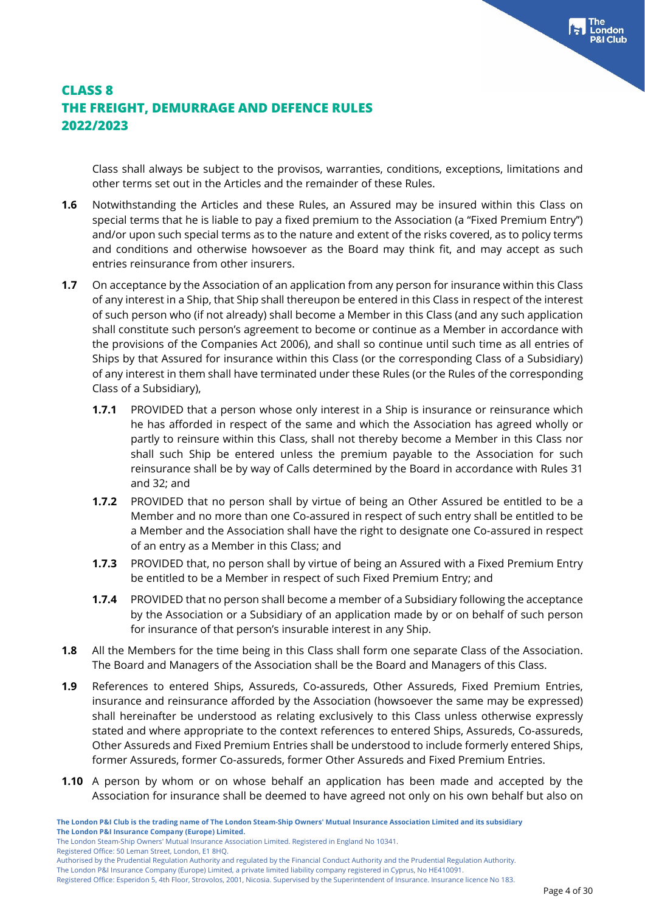Class shall always be subject to the provisos, warranties, conditions, exceptions, limitations and other terms set out in the Articles and the remainder of these Rules.

- **1.6** Notwithstanding the Articles and these Rules, an Assured may be insured within this Class on special terms that he is liable to pay a fixed premium to the Association (a "Fixed Premium Entry'') and/or upon such special terms as to the nature and extent of the risks covered, as to policy terms and conditions and otherwise howsoever as the Board may think fit, and may accept as such entries reinsurance from other insurers.
- **1.7** On acceptance by the Association of an application from any person for insurance within this Class of any interest in a Ship, that Ship shall thereupon be entered in this Class in respect of the interest of such person who (if not already) shall become a Member in this Class (and any such application shall constitute such person's agreement to become or continue as a Member in accordance with the provisions of the Companies Act 2006), and shall so continue until such time as all entries of Ships by that Assured for insurance within this Class (or the corresponding Class of a Subsidiary) of any interest in them shall have terminated under these Rules (or the Rules of the corresponding Class of a Subsidiary),
	- **1.7.1** PROVIDED that a person whose only interest in a Ship is insurance or reinsurance which he has afforded in respect of the same and which the Association has agreed wholly or partly to reinsure within this Class, shall not thereby become a Member in this Class nor shall such Ship be entered unless the premium payable to the Association for such reinsurance shall be by way of Calls determined by the Board in accordance with Rules 31 and 32; and
	- **1.7.2** PROVIDED that no person shall by virtue of being an Other Assured be entitled to be a Member and no more than one Co-assured in respect of such entry shall be entitled to be a Member and the Association shall have the right to designate one Co-assured in respect of an entry as a Member in this Class; and
	- **1.7.3** PROVIDED that, no person shall by virtue of being an Assured with a Fixed Premium Entry be entitled to be a Member in respect of such Fixed Premium Entry; and
	- **1.7.4** PROVIDED that no person shall become a member of a Subsidiary following the acceptance by the Association or a Subsidiary of an application made by or on behalf of such person for insurance of that person's insurable interest in any Ship.
- **1.8** All the Members for the time being in this Class shall form one separate Class of the Association. The Board and Managers of the Association shall be the Board and Managers of this Class.
- **1.9** References to entered Ships, Assureds, Co-assureds, Other Assureds, Fixed Premium Entries, insurance and reinsurance afforded by the Association (howsoever the same may be expressed) shall hereinafter be understood as relating exclusively to this Class unless otherwise expressly stated and where appropriate to the context references to entered Ships, Assureds, Co-assureds, Other Assureds and Fixed Premium Entries shall be understood to include formerly entered Ships, former Assureds, former Co-assureds, former Other Assureds and Fixed Premium Entries.
- **1.10** A person by whom or on whose behalf an application has been made and accepted by the Association for insurance shall be deemed to have agreed not only on his own behalf but also on

Registered Office: 50 Leman Street, London, E1 8HQ.

The London P&I Insurance Company (Europe) Limited, a private limited liability company registered in Cyprus, No HE410091.

**The London P&I Club is the trading name of The London Steam-Ship Owners' Mutual Insurance Association Limited and its subsidiary The London P&I Insurance Company (Europe) Limited.**

The London Steam-Ship Owners' Mutual Insurance Association Limited. Registered in England No 10341.

Authorised by the Prudential Regulation Authority and regulated by the Financial Conduct Authority and the Prudential Regulation Authority.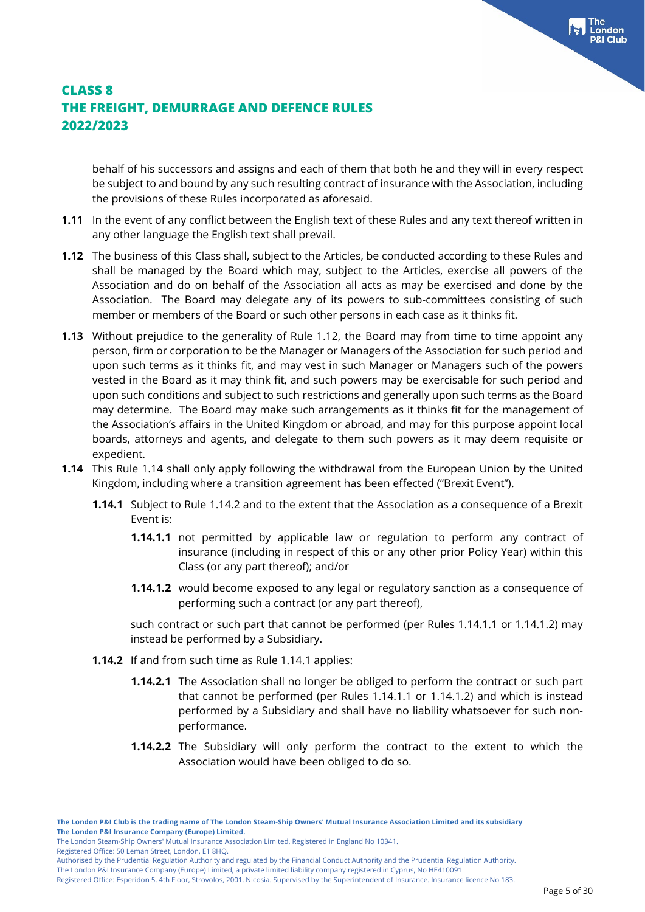behalf of his successors and assigns and each of them that both he and they will in every respect be subject to and bound by any such resulting contract of insurance with the Association, including the provisions of these Rules incorporated as aforesaid.

- **1.11** In the event of any conflict between the English text of these Rules and any text thereof written in any other language the English text shall prevail.
- **1.12** The business of this Class shall, subject to the Articles, be conducted according to these Rules and shall be managed by the Board which may, subject to the Articles, exercise all powers of the Association and do on behalf of the Association all acts as may be exercised and done by the Association. The Board may delegate any of its powers to sub-committees consisting of such member or members of the Board or such other persons in each case as it thinks fit.
- **1.13** Without prejudice to the generality of Rule 1.12, the Board may from time to time appoint any person, firm or corporation to be the Manager or Managers of the Association for such period and upon such terms as it thinks fit, and may vest in such Manager or Managers such of the powers vested in the Board as it may think fit, and such powers may be exercisable for such period and upon such conditions and subject to such restrictions and generally upon such terms as the Board may determine. The Board may make such arrangements as it thinks fit for the management of the Association's affairs in the United Kingdom or abroad, and may for this purpose appoint local boards, attorneys and agents, and delegate to them such powers as it may deem requisite or expedient.
- **1.14** This Rule 1.14 shall only apply following the withdrawal from the European Union by the United Kingdom, including where a transition agreement has been effected ("Brexit Event").
	- **1.14.1** Subject to Rule 1.14.2 and to the extent that the Association as a consequence of a Brexit Event is:
		- **1.14.1.1** not permitted by applicable law or regulation to perform any contract of insurance (including in respect of this or any other prior Policy Year) within this Class (or any part thereof); and/or
		- **1.14.1.2** would become exposed to any legal or regulatory sanction as a consequence of performing such a contract (or any part thereof),

such contract or such part that cannot be performed (per Rules 1.14.1.1 or 1.14.1.2) may instead be performed by a Subsidiary.

- **1.14.2** If and from such time as Rule 1.14.1 applies:
	- **1.14.2.1** The Association shall no longer be obliged to perform the contract or such part that cannot be performed (per Rules 1.14.1.1 or 1.14.1.2) and which is instead performed by a Subsidiary and shall have no liability whatsoever for such nonperformance.
	- **1.14.2.2** The Subsidiary will only perform the contract to the extent to which the Association would have been obliged to do so.

The London Steam-Ship Owners' Mutual Insurance Association Limited. Registered in England No 10341.

Registered Office: 50 Leman Street, London, E1 8HQ.

The London P&I Insurance Company (Europe) Limited, a private limited liability company registered in Cyprus, No HE410091.

Authorised by the Prudential Regulation Authority and regulated by the Financial Conduct Authority and the Prudential Regulation Authority.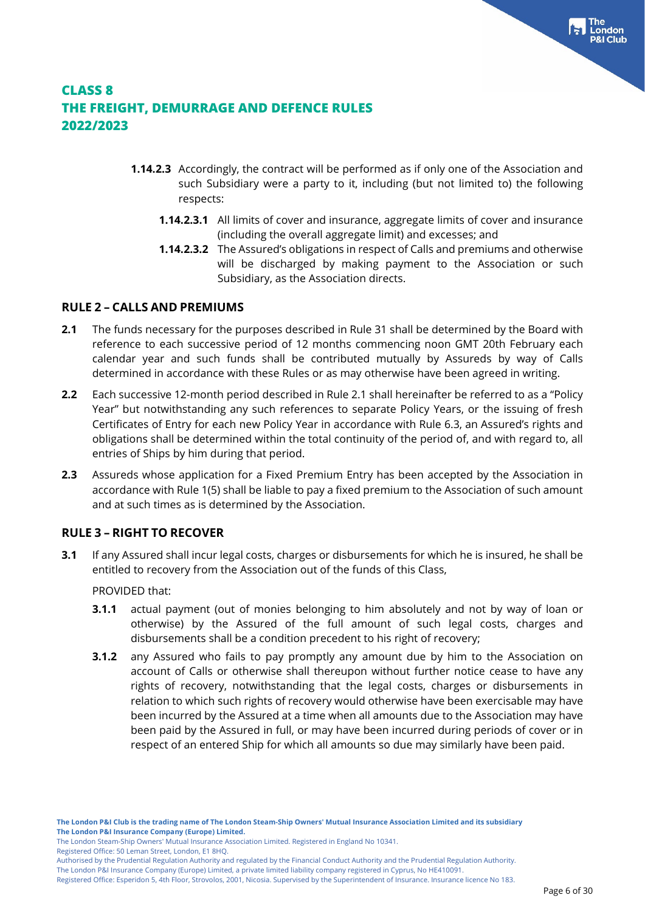- **1.14.2.3** Accordingly, the contract will be performed as if only one of the Association and such Subsidiary were a party to it, including (but not limited to) the following respects:
	- **1.14.2.3.1** All limits of cover and insurance, aggregate limits of cover and insurance (including the overall aggregate limit) and excesses; and
	- **1.14.2.3.2** The Assured's obligations in respect of Calls and premiums and otherwise will be discharged by making payment to the Association or such Subsidiary, as the Association directs.

### **RULE 2 – CALLS AND PREMIUMS**

- **2.1** The funds necessary for the purposes described in Rule 31 shall be determined by the Board with reference to each successive period of 12 months commencing noon GMT 20th February each calendar year and such funds shall be contributed mutually by Assureds by way of Calls determined in accordance with these Rules or as may otherwise have been agreed in writing.
- **2.2** Each successive 12-month period described in Rule 2.1 shall hereinafter be referred to as a "Policy Year" but notwithstanding any such references to separate Policy Years, or the issuing of fresh Certificates of Entry for each new Policy Year in accordance with Rule 6.3, an Assured's rights and obligations shall be determined within the total continuity of the period of, and with regard to, all entries of Ships by him during that period.
- **2.3** Assureds whose application for a Fixed Premium Entry has been accepted by the Association in accordance with Rule 1(5) shall be liable to pay a fixed premium to the Association of such amount and at such times as is determined by the Association.

### **RULE 3 – RIGHT TO RECOVER**

**3.1** If any Assured shall incur legal costs, charges or disbursements for which he is insured, he shall be entitled to recovery from the Association out of the funds of this Class,

PROVIDED that:

- **3.1.1** actual payment (out of monies belonging to him absolutely and not by way of loan or otherwise) by the Assured of the full amount of such legal costs, charges and disbursements shall be a condition precedent to his right of recovery;
- **3.1.2** any Assured who fails to pay promptly any amount due by him to the Association on account of Calls or otherwise shall thereupon without further notice cease to have any rights of recovery, notwithstanding that the legal costs, charges or disbursements in relation to which such rights of recovery would otherwise have been exercisable may have been incurred by the Assured at a time when all amounts due to the Association may have been paid by the Assured in full, or may have been incurred during periods of cover or in respect of an entered Ship for which all amounts so due may similarly have been paid.

Registered Office: 50 Leman Street, London, E1 8HQ.

The London P&I Insurance Company (Europe) Limited, a private limited liability company registered in Cyprus, No HE410091.

The London Steam-Ship Owners' Mutual Insurance Association Limited. Registered in England No 10341.

Authorised by the Prudential Regulation Authority and regulated by the Financial Conduct Authority and the Prudential Regulation Authority.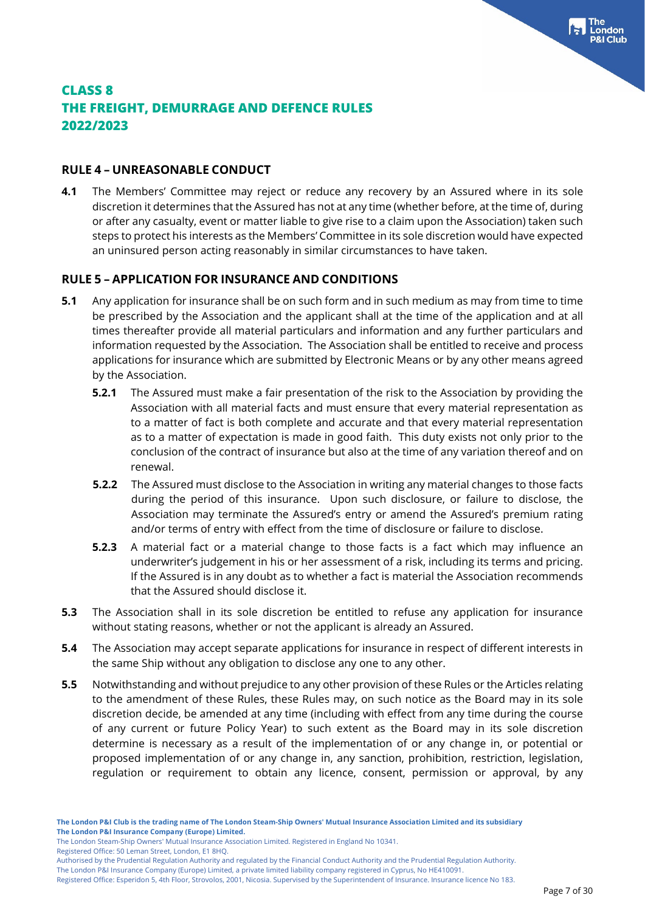#### **RULE 4 – UNREASONABLE CONDUCT**

**4.1** The Members' Committee may reject or reduce any recovery by an Assured where in its sole discretion it determines that the Assured has not at any time (whether before, at the time of, during or after any casualty, event or matter liable to give rise to a claim upon the Association) taken such steps to protect his interests as the Members' Committee in its sole discretion would have expected an uninsured person acting reasonably in similar circumstances to have taken.

### **RULE 5 – APPLICATION FOR INSURANCE AND CONDITIONS**

- **5.1** Any application for insurance shall be on such form and in such medium as may from time to time be prescribed by the Association and the applicant shall at the time of the application and at all times thereafter provide all material particulars and information and any further particulars and information requested by the Association. The Association shall be entitled to receive and process applications for insurance which are submitted by Electronic Means or by any other means agreed by the Association.
	- **5.2.1** The Assured must make a fair presentation of the risk to the Association by providing the Association with all material facts and must ensure that every material representation as to a matter of fact is both complete and accurate and that every material representation as to a matter of expectation is made in good faith. This duty exists not only prior to the conclusion of the contract of insurance but also at the time of any variation thereof and on renewal.
	- **5.2.2** The Assured must disclose to the Association in writing any material changes to those facts during the period of this insurance. Upon such disclosure, or failure to disclose, the Association may terminate the Assured's entry or amend the Assured's premium rating and/or terms of entry with effect from the time of disclosure or failure to disclose.
	- **5.2.3** A material fact or a material change to those facts is a fact which may influence an underwriter's judgement in his or her assessment of a risk, including its terms and pricing. If the Assured is in any doubt as to whether a fact is material the Association recommends that the Assured should disclose it.
- **5.3** The Association shall in its sole discretion be entitled to refuse any application for insurance without stating reasons, whether or not the applicant is already an Assured.
- **5.4** The Association may accept separate applications for insurance in respect of different interests in the same Ship without any obligation to disclose any one to any other.
- **5.5** Notwithstanding and without prejudice to any other provision of these Rules or the Articles relating to the amendment of these Rules, these Rules may, on such notice as the Board may in its sole discretion decide, be amended at any time (including with effect from any time during the course of any current or future Policy Year) to such extent as the Board may in its sole discretion determine is necessary as a result of the implementation of or any change in, or potential or proposed implementation of or any change in, any sanction, prohibition, restriction, legislation, regulation or requirement to obtain any licence, consent, permission or approval, by any

The London Steam-Ship Owners' Mutual Insurance Association Limited. Registered in England No 10341.

Registered Office: 50 Leman Street, London, E1 8HQ.

The London P&I Insurance Company (Europe) Limited, a private limited liability company registered in Cyprus, No HE410091.

Authorised by the Prudential Regulation Authority and regulated by the Financial Conduct Authority and the Prudential Regulation Authority.

Registered Office: Esperidon 5, 4th Floor, Strovolos, 2001, Nicosia. Supervised by the Superintendent of Insurance. Insurance licence No 183.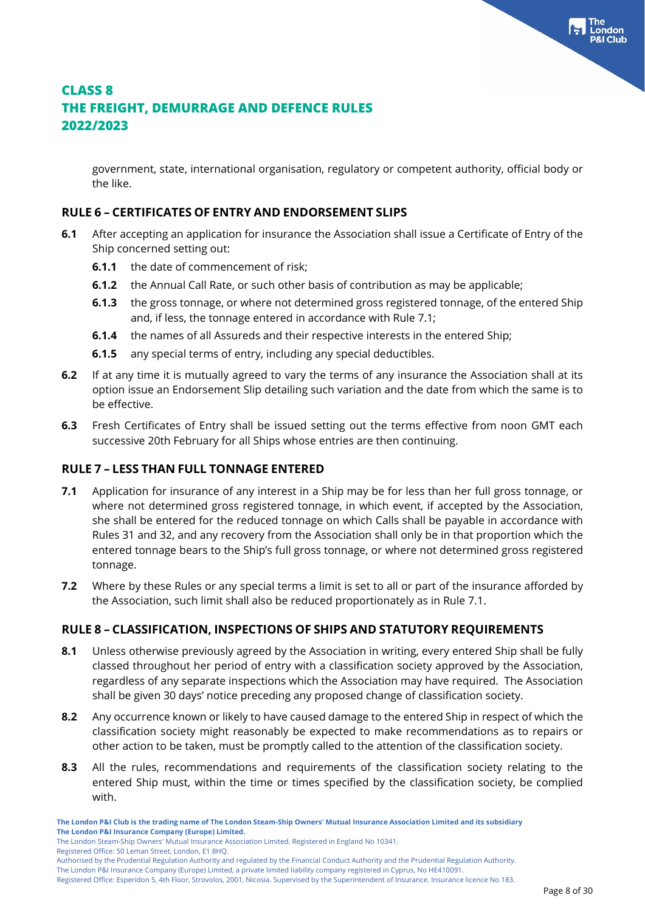government, state, international organisation, regulatory or competent authority, official body or the like.

#### **RULE 6 – CERTIFICATES OF ENTRY AND ENDORSEMENT SLIPS**

- **6.1** After accepting an application for insurance the Association shall issue a Certificate of Entry of the Ship concerned setting out:
	- **6.1.1** the date of commencement of risk;
	- **6.1.2** the Annual Call Rate, or such other basis of contribution as may be applicable;
	- **6.1.3** the gross tonnage, or where not determined gross registered tonnage, of the entered Ship and, if less, the tonnage entered in accordance with Rule 7.1;
	- **6.1.4** the names of all Assureds and their respective interests in the entered Ship;
	- **6.1.5** any special terms of entry, including any special deductibles.
- **6.2** If at any time it is mutually agreed to vary the terms of any insurance the Association shall at its option issue an Endorsement Slip detailing such variation and the date from which the same is to be effective.
- **6.3** Fresh Certificates of Entry shall be issued setting out the terms effective from noon GMT each successive 20th February for all Ships whose entries are then continuing.

#### **RULE 7 – LESS THAN FULL TONNAGE ENTERED**

- **7.1** Application for insurance of any interest in a Ship may be for less than her full gross tonnage, or where not determined gross registered tonnage, in which event, if accepted by the Association, she shall be entered for the reduced tonnage on which Calls shall be payable in accordance with Rules 31 and 32, and any recovery from the Association shall only be in that proportion which the entered tonnage bears to the Ship's full gross tonnage, or where not determined gross registered tonnage.
- **7.2** Where by these Rules or any special terms a limit is set to all or part of the insurance afforded by the Association, such limit shall also be reduced proportionately as in Rule 7.1.

#### **RULE 8 – CLASSIFICATION, INSPECTIONS OF SHIPS AND STATUTORY REQUIREMENTS**

- **8.1** Unless otherwise previously agreed by the Association in writing, every entered Ship shall be fully classed throughout her period of entry with a classification society approved by the Association, regardless of any separate inspections which the Association may have required. The Association shall be given 30 days' notice preceding any proposed change of classification society.
- **8.2** Any occurrence known or likely to have caused damage to the entered Ship in respect of which the classification society might reasonably be expected to make recommendations as to repairs or other action to be taken, must be promptly called to the attention of the classification society.
- **8.3** All the rules, recommendations and requirements of the classification society relating to the entered Ship must, within the time or times specified by the classification society, be complied with.

Authorised by the Prudential Regulation Authority and regulated by the Financial Conduct Authority and the Prudential Regulation Authority.

The London P&I Insurance Company (Europe) Limited, a private limited liability company registered in Cyprus, No HE410091.

Registered Office: Esperidon 5, 4th Floor, Strovolos, 2001, Nicosia. Supervised by the Superintendent of Insurance. Insurance licence No 183.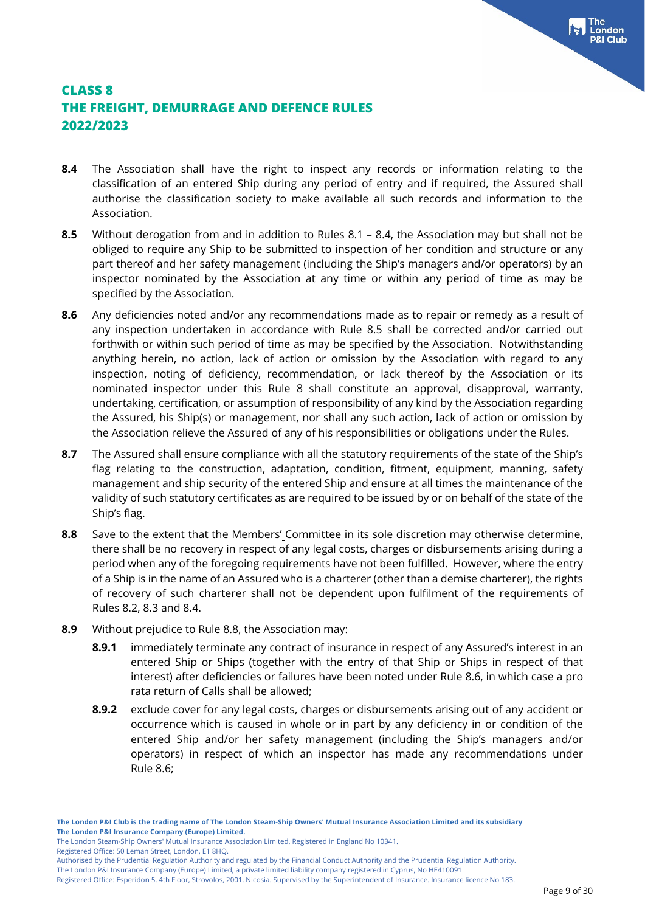- **8.4** The Association shall have the right to inspect any records or information relating to the classification of an entered Ship during any period of entry and if required, the Assured shall authorise the classification society to make available all such records and information to the Association.
- **8.5** Without derogation from and in addition to Rules 8.1 8.4, the Association may but shall not be obliged to require any Ship to be submitted to inspection of her condition and structure or any part thereof and her safety management (including the Ship's managers and/or operators) by an inspector nominated by the Association at any time or within any period of time as may be specified by the Association.
- **8.6** Any deficiencies noted and/or any recommendations made as to repair or remedy as a result of any inspection undertaken in accordance with Rule 8.5 shall be corrected and/or carried out forthwith or within such period of time as may be specified by the Association. Notwithstanding anything herein, no action, lack of action or omission by the Association with regard to any inspection, noting of deficiency, recommendation, or lack thereof by the Association or its nominated inspector under this Rule 8 shall constitute an approval, disapproval, warranty, undertaking, certification, or assumption of responsibility of any kind by the Association regarding the Assured, his Ship(s) or management, nor shall any such action, lack of action or omission by the Association relieve the Assured of any of his responsibilities or obligations under the Rules.
- **8.7** The Assured shall ensure compliance with all the statutory requirements of the state of the Ship's flag relating to the construction, adaptation, condition, fitment, equipment, manning, safety management and ship security of the entered Ship and ensure at all times the maintenance of the validity of such statutory certificates as are required to be issued by or on behalf of the state of the Ship's flag.
- **8.8** Save to the extent that the Members' Committee in its sole discretion may otherwise determine, there shall be no recovery in respect of any legal costs, charges or disbursements arising during a period when any of the foregoing requirements have not been fulfilled. However, where the entry of a Ship is in the name of an Assured who is a charterer (other than a demise charterer), the rights of recovery of such charterer shall not be dependent upon fulfilment of the requirements of Rules 8.2, 8.3 and 8.4.
- **8.9** Without prejudice to Rule 8.8, the Association may:
	- **8.9.1** immediately terminate any contract of insurance in respect of any Assured's interest in an entered Ship or Ships (together with the entry of that Ship or Ships in respect of that interest) after deficiencies or failures have been noted under Rule 8.6, in which case a pro rata return of Calls shall be allowed;
	- **8.9.2** exclude cover for any legal costs, charges or disbursements arising out of any accident or occurrence which is caused in whole or in part by any deficiency in or condition of the entered Ship and/or her safety management (including the Ship's managers and/or operators) in respect of which an inspector has made any recommendations under Rule 8.6;

The London Steam-Ship Owners' Mutual Insurance Association Limited. Registered in England No 10341.

Registered Office: 50 Leman Street, London, E1 8HQ.

The London P&I Insurance Company (Europe) Limited, a private limited liability company registered in Cyprus, No HE410091.

Authorised by the Prudential Regulation Authority and regulated by the Financial Conduct Authority and the Prudential Regulation Authority.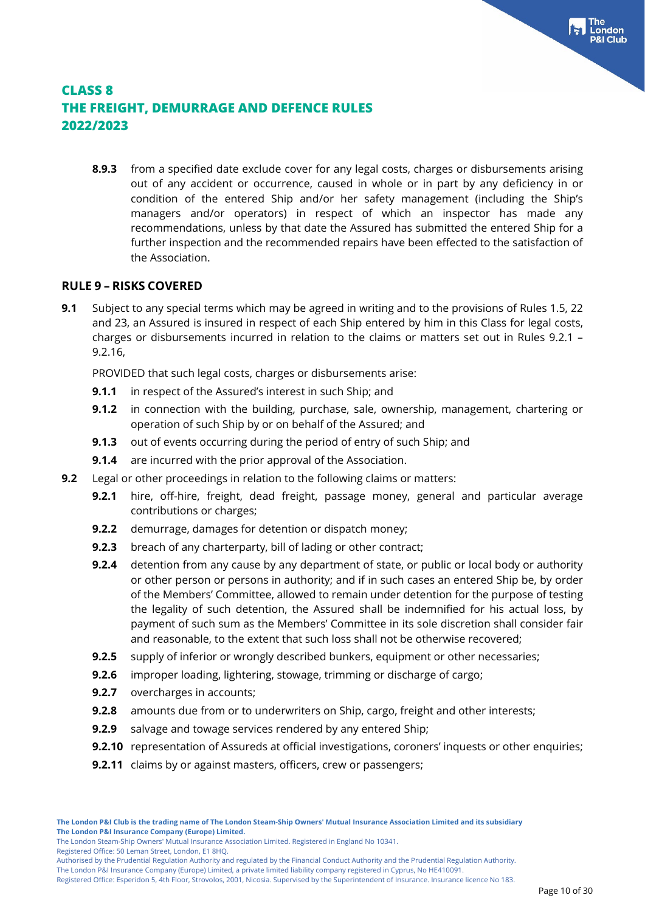**8.9.3** from a specified date exclude cover for any legal costs, charges or disbursements arising out of any accident or occurrence, caused in whole or in part by any deficiency in or condition of the entered Ship and/or her safety management (including the Ship's managers and/or operators) in respect of which an inspector has made any recommendations, unless by that date the Assured has submitted the entered Ship for a further inspection and the recommended repairs have been effected to the satisfaction of the Association.

#### **RULE 9 – RISKS COVERED**

**9.1** Subject to any special terms which may be agreed in writing and to the provisions of Rules 1.5, 22 and 23, an Assured is insured in respect of each Ship entered by him in this Class for legal costs, charges or disbursements incurred in relation to the claims or matters set out in Rules 9.2.1 – 9.2.16,

PROVIDED that such legal costs, charges or disbursements arise:

- **9.1.1** in respect of the Assured's interest in such Ship; and
- **9.1.2** in connection with the building, purchase, sale, ownership, management, chartering or operation of such Ship by or on behalf of the Assured; and
- **9.1.3** out of events occurring during the period of entry of such Ship; and
- **9.1.4** are incurred with the prior approval of the Association.
- **9.2** Legal or other proceedings in relation to the following claims or matters:
	- **9.2.1** hire, off-hire, freight, dead freight, passage money, general and particular average contributions or charges;
	- **9.2.2** demurrage, damages for detention or dispatch money;
	- **9.2.3** breach of any charterparty, bill of lading or other contract;
	- **9.2.4** detention from any cause by any department of state, or public or local body or authority or other person or persons in authority; and if in such cases an entered Ship be, by order of the Members' Committee, allowed to remain under detention for the purpose of testing the legality of such detention, the Assured shall be indemnified for his actual loss, by payment of such sum as the Members' Committee in its sole discretion shall consider fair and reasonable, to the extent that such loss shall not be otherwise recovered;
	- **9.2.5** supply of inferior or wrongly described bunkers, equipment or other necessaries;
	- **9.2.6** improper loading, lightering, stowage, trimming or discharge of cargo;
	- **9.2.7** overcharges in accounts;
	- **9.2.8** amounts due from or to underwriters on Ship, cargo, freight and other interests;
	- **9.2.9** salvage and towage services rendered by any entered Ship;
	- **9.2.10** representation of Assureds at official investigations, coroners' inquests or other enquiries;
	- **9.2.11** claims by or against masters, officers, crew or passengers;

The London Steam-Ship Owners' Mutual Insurance Association Limited. Registered in England No 10341.

Registered Office: 50 Leman Street, London, E1 8HQ.

The London P&I Insurance Company (Europe) Limited, a private limited liability company registered in Cyprus, No HE410091. Registered Office: Esperidon 5, 4th Floor, Strovolos, 2001, Nicosia. Supervised by the Superintendent of Insurance. Insurance licence No 183.

Authorised by the Prudential Regulation Authority and regulated by the Financial Conduct Authority and the Prudential Regulation Authority.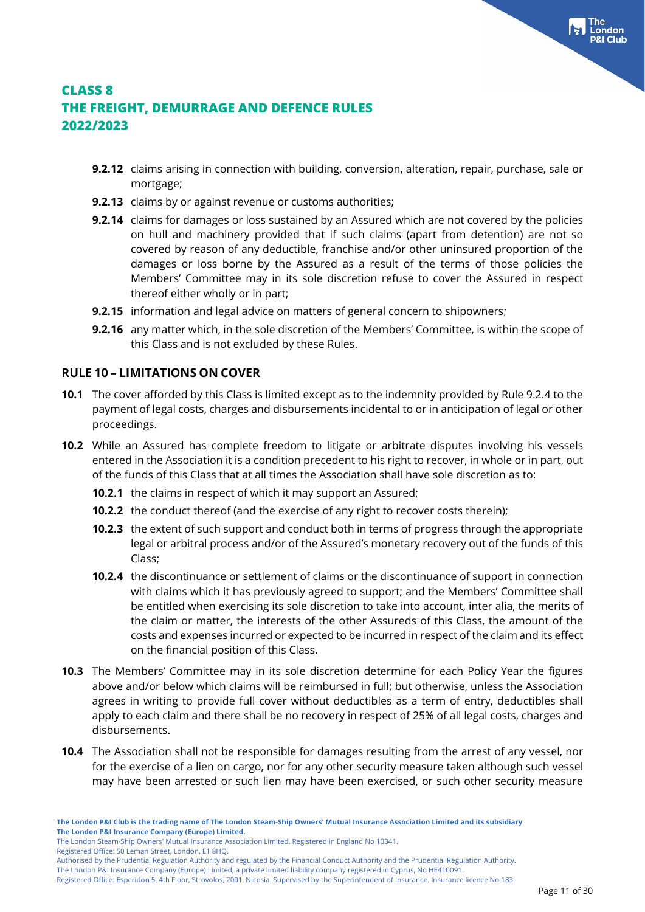- **9.2.12** claims arising in connection with building, conversion, alteration, repair, purchase, sale or mortgage;
- **9.2.13** claims by or against revenue or customs authorities;
- **9.2.14** claims for damages or loss sustained by an Assured which are not covered by the policies on hull and machinery provided that if such claims (apart from detention) are not so covered by reason of any deductible, franchise and/or other uninsured proportion of the damages or loss borne by the Assured as a result of the terms of those policies the Members' Committee may in its sole discretion refuse to cover the Assured in respect thereof either wholly or in part;
- **9.2.15** information and legal advice on matters of general concern to shipowners;
- **9.2.16** any matter which, in the sole discretion of the Members' Committee, is within the scope of this Class and is not excluded by these Rules.

#### **RULE 10 – LIMITATIONS ON COVER**

- **10.1** The cover afforded by this Class is limited except as to the indemnity provided by Rule 9.2.4 to the payment of legal costs, charges and disbursements incidental to or in anticipation of legal or other proceedings.
- **10.2** While an Assured has complete freedom to litigate or arbitrate disputes involving his vessels entered in the Association it is a condition precedent to his right to recover, in whole or in part, out of the funds of this Class that at all times the Association shall have sole discretion as to:
	- **10.2.1** the claims in respect of which it may support an Assured;
	- **10.2.2** the conduct thereof (and the exercise of any right to recover costs therein);
	- **10.2.3** the extent of such support and conduct both in terms of progress through the appropriate legal or arbitral process and/or of the Assured's monetary recovery out of the funds of this Class;
	- **10.2.4** the discontinuance or settlement of claims or the discontinuance of support in connection with claims which it has previously agreed to support; and the Members' Committee shall be entitled when exercising its sole discretion to take into account, inter alia, the merits of the claim or matter, the interests of the other Assureds of this Class, the amount of the costs and expenses incurred or expected to be incurred in respect of the claim and its effect on the financial position of this Class.
- **10.3** The Members' Committee may in its sole discretion determine for each Policy Year the figures above and/or below which claims will be reimbursed in full; but otherwise, unless the Association agrees in writing to provide full cover without deductibles as a term of entry, deductibles shall apply to each claim and there shall be no recovery in respect of 25% of all legal costs, charges and disbursements.
- **10.4** The Association shall not be responsible for damages resulting from the arrest of any vessel, nor for the exercise of a lien on cargo, nor for any other security measure taken although such vessel may have been arrested or such lien may have been exercised, or such other security measure

The London Steam-Ship Owners' Mutual Insurance Association Limited. Registered in England No 10341.

Registered Office: 50 Leman Street, London, E1 8HQ.

Authorised by the Prudential Regulation Authority and regulated by the Financial Conduct Authority and the Prudential Regulation Authority.

The London P&I Insurance Company (Europe) Limited, a private limited liability company registered in Cyprus, No HE410091.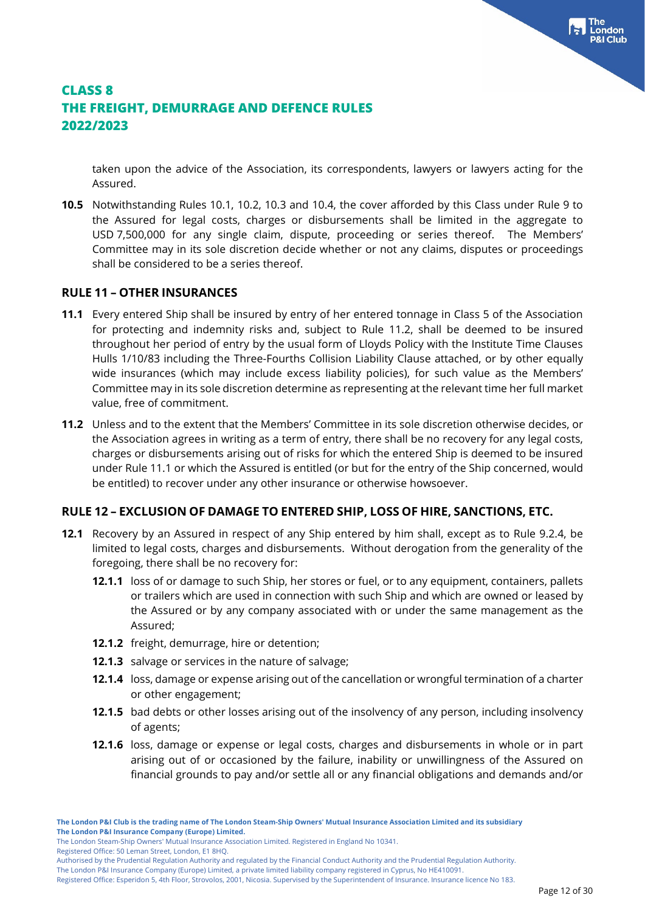taken upon the advice of the Association, its correspondents, lawyers or lawyers acting for the Assured.

**10.5** Notwithstanding Rules 10.1, 10.2, 10.3 and 10.4, the cover afforded by this Class under Rule 9 to the Assured for legal costs, charges or disbursements shall be limited in the aggregate to USD 7,500,000 for any single claim, dispute, proceeding or series thereof. The Members' Committee may in its sole discretion decide whether or not any claims, disputes or proceedings shall be considered to be a series thereof.

#### **RULE 11 – OTHER INSURANCES**

- **11.1** Every entered Ship shall be insured by entry of her entered tonnage in Class 5 of the Association for protecting and indemnity risks and, subject to Rule 11.2, shall be deemed to be insured throughout her period of entry by the usual form of Lloyds Policy with the Institute Time Clauses Hulls 1/10/83 including the Three-Fourths Collision Liability Clause attached, or by other equally wide insurances (which may include excess liability policies), for such value as the Members' Committee may in its sole discretion determine as representing at the relevant time her full market value, free of commitment.
- **11.2** Unless and to the extent that the Members' Committee in its sole discretion otherwise decides, or the Association agrees in writing as a term of entry, there shall be no recovery for any legal costs, charges or disbursements arising out of risks for which the entered Ship is deemed to be insured under Rule 11.1 or which the Assured is entitled (or but for the entry of the Ship concerned, would be entitled) to recover under any other insurance or otherwise howsoever.

#### **RULE 12 – EXCLUSION OF DAMAGE TO ENTERED SHIP, LOSS OF HIRE, SANCTIONS, ETC.**

- **12.1** Recovery by an Assured in respect of any Ship entered by him shall, except as to Rule 9.2.4, be limited to legal costs, charges and disbursements. Without derogation from the generality of the foregoing, there shall be no recovery for:
	- **12.1.1** loss of or damage to such Ship, her stores or fuel, or to any equipment, containers, pallets or trailers which are used in connection with such Ship and which are owned or leased by the Assured or by any company associated with or under the same management as the Assured;
	- **12.1.2** freight, demurrage, hire or detention;
	- **12.1.3** salvage or services in the nature of salvage;
	- **12.1.4** loss, damage or expense arising out of the cancellation or wrongful termination of a charter or other engagement;
	- **12.1.5** bad debts or other losses arising out of the insolvency of any person, including insolvency of agents;
	- **12.1.6** loss, damage or expense or legal costs, charges and disbursements in whole or in part arising out of or occasioned by the failure, inability or unwillingness of the Assured on financial grounds to pay and/or settle all or any financial obligations and demands and/or

The London Steam-Ship Owners' Mutual Insurance Association Limited. Registered in England No 10341.

Registered Office: 50 Leman Street, London, E1 8HQ.

Authorised by the Prudential Regulation Authority and regulated by the Financial Conduct Authority and the Prudential Regulation Authority.

The London P&I Insurance Company (Europe) Limited, a private limited liability company registered in Cyprus, No HE410091.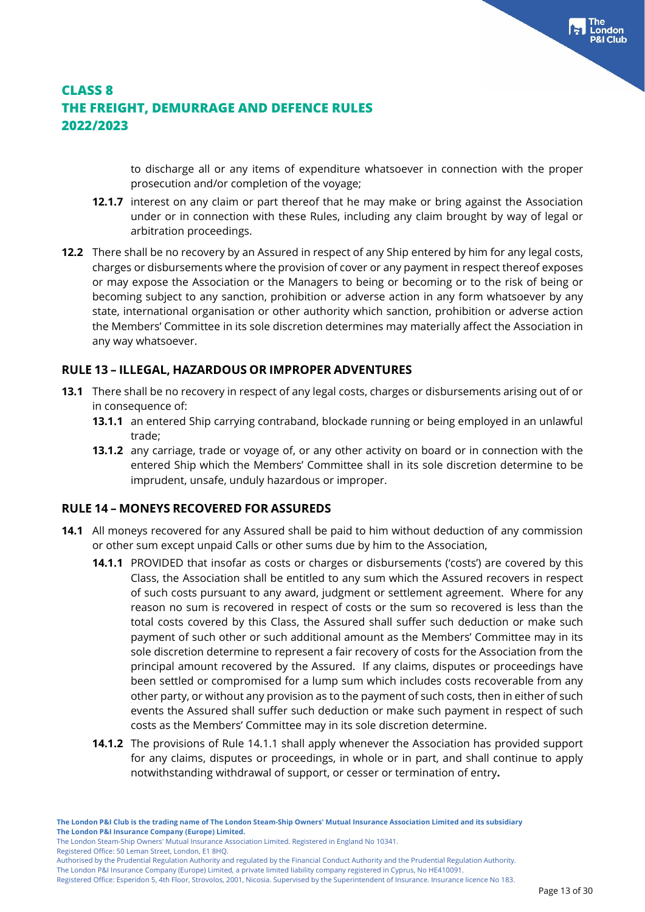to discharge all or any items of expenditure whatsoever in connection with the proper prosecution and/or completion of the voyage;

- **12.1.7** interest on any claim or part thereof that he may make or bring against the Association under or in connection with these Rules, including any claim brought by way of legal or arbitration proceedings.
- **12.2** There shall be no recovery by an Assured in respect of any Ship entered by him for any legal costs, charges or disbursements where the provision of cover or any payment in respect thereof exposes or may expose the Association or the Managers to being or becoming or to the risk of being or becoming subject to any sanction, prohibition or adverse action in any form whatsoever by any state, international organisation or other authority which sanction, prohibition or adverse action the Members' Committee in its sole discretion determines may materially affect the Association in any way whatsoever.

### **RULE 13 – ILLEGAL, HAZARDOUS OR IMPROPER ADVENTURES**

- **13.1** There shall be no recovery in respect of any legal costs, charges or disbursements arising out of or in consequence of:
	- **13.1.1** an entered Ship carrying contraband, blockade running or being employed in an unlawful trade;
	- **13.1.2** any carriage, trade or voyage of, or any other activity on board or in connection with the entered Ship which the Members' Committee shall in its sole discretion determine to be imprudent, unsafe, unduly hazardous or improper.

### **RULE 14 – MONEYS RECOVERED FOR ASSUREDS**

- **14.1** All moneys recovered for any Assured shall be paid to him without deduction of any commission or other sum except unpaid Calls or other sums due by him to the Association,
	- **14.1.1** PROVIDED that insofar as costs or charges or disbursements ('costs') are covered by this Class, the Association shall be entitled to any sum which the Assured recovers in respect of such costs pursuant to any award, judgment or settlement agreement. Where for any reason no sum is recovered in respect of costs or the sum so recovered is less than the total costs covered by this Class, the Assured shall suffer such deduction or make such payment of such other or such additional amount as the Members' Committee may in its sole discretion determine to represent a fair recovery of costs for the Association from the principal amount recovered by the Assured. If any claims, disputes or proceedings have been settled or compromised for a lump sum which includes costs recoverable from any other party, or without any provision as to the payment of such costs, then in either of such events the Assured shall suffer such deduction or make such payment in respect of such costs as the Members' Committee may in its sole discretion determine.
	- **14.1.2** The provisions of Rule 14.1.1 shall apply whenever the Association has provided support for any claims, disputes or proceedings, in whole or in part, and shall continue to apply notwithstanding withdrawal of support, or cesser or termination of entry**.**

The London Steam-Ship Owners' Mutual Insurance Association Limited. Registered in England No 10341.

Registered Office: 50 Leman Street, London, E1 8HQ.

Authorised by the Prudential Regulation Authority and regulated by the Financial Conduct Authority and the Prudential Regulation Authority.

The London P&I Insurance Company (Europe) Limited, a private limited liability company registered in Cyprus, No HE410091.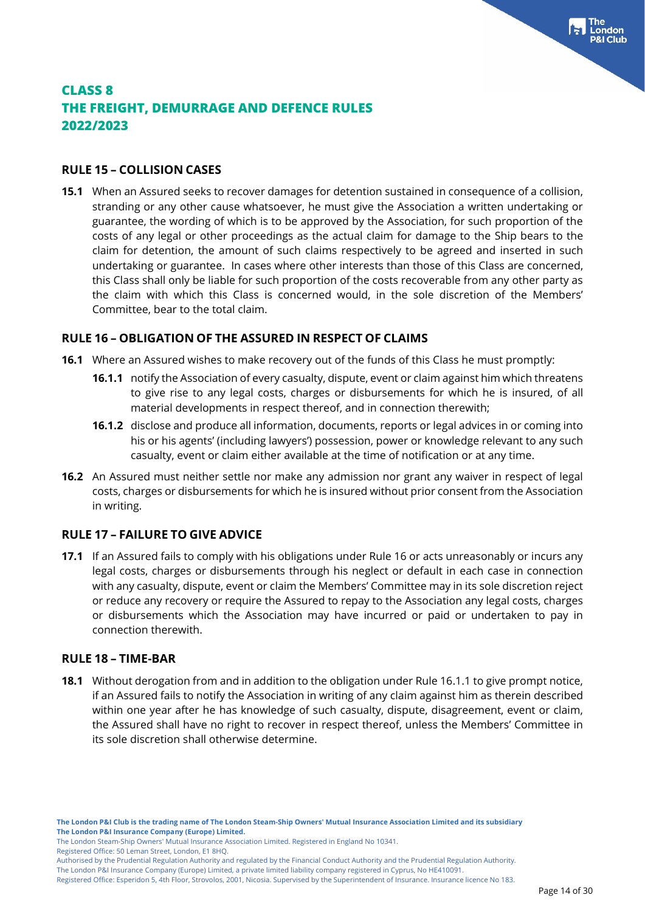#### **RULE 15 – COLLISION CASES**

**15.1** When an Assured seeks to recover damages for detention sustained in consequence of a collision, stranding or any other cause whatsoever, he must give the Association a written undertaking or guarantee, the wording of which is to be approved by the Association, for such proportion of the costs of any legal or other proceedings as the actual claim for damage to the Ship bears to the claim for detention, the amount of such claims respectively to be agreed and inserted in such undertaking or guarantee. In cases where other interests than those of this Class are concerned, this Class shall only be liable for such proportion of the costs recoverable from any other party as the claim with which this Class is concerned would, in the sole discretion of the Members' Committee, bear to the total claim.

#### **RULE 16 – OBLIGATION OF THE ASSURED IN RESPECT OF CLAIMS**

- **16.1** Where an Assured wishes to make recovery out of the funds of this Class he must promptly:
	- **16.1.1** notify the Association of every casualty, dispute, event or claim against him which threatens to give rise to any legal costs, charges or disbursements for which he is insured, of all material developments in respect thereof, and in connection therewith;
	- **16.1.2** disclose and produce all information, documents, reports or legal advices in or coming into his or his agents' (including lawyers') possession, power or knowledge relevant to any such casualty, event or claim either available at the time of notification or at any time.
- **16.2** An Assured must neither settle nor make any admission nor grant any waiver in respect of legal costs, charges or disbursements for which he is insured without prior consent from the Association in writing.

#### **RULE 17 – FAILURE TO GIVE ADVICE**

**17.1** If an Assured fails to comply with his obligations under Rule 16 or acts unreasonably or incurs any legal costs, charges or disbursements through his neglect or default in each case in connection with any casualty, dispute, event or claim the Members' Committee may in its sole discretion reject or reduce any recovery or require the Assured to repay to the Association any legal costs, charges or disbursements which the Association may have incurred or paid or undertaken to pay in connection therewith.

#### **RULE 18 – TIME-BAR**

**18.1** Without derogation from and in addition to the obligation under Rule 16.1.1 to give prompt notice, if an Assured fails to notify the Association in writing of any claim against him as therein described within one year after he has knowledge of such casualty, dispute, disagreement, event or claim, the Assured shall have no right to recover in respect thereof, unless the Members' Committee in its sole discretion shall otherwise determine.

Registered Office: 50 Leman Street, London, E1 8HQ.

The London P&I Insurance Company (Europe) Limited, a private limited liability company registered in Cyprus, No HE410091.

The London Steam-Ship Owners' Mutual Insurance Association Limited. Registered in England No 10341.

Authorised by the Prudential Regulation Authority and regulated by the Financial Conduct Authority and the Prudential Regulation Authority.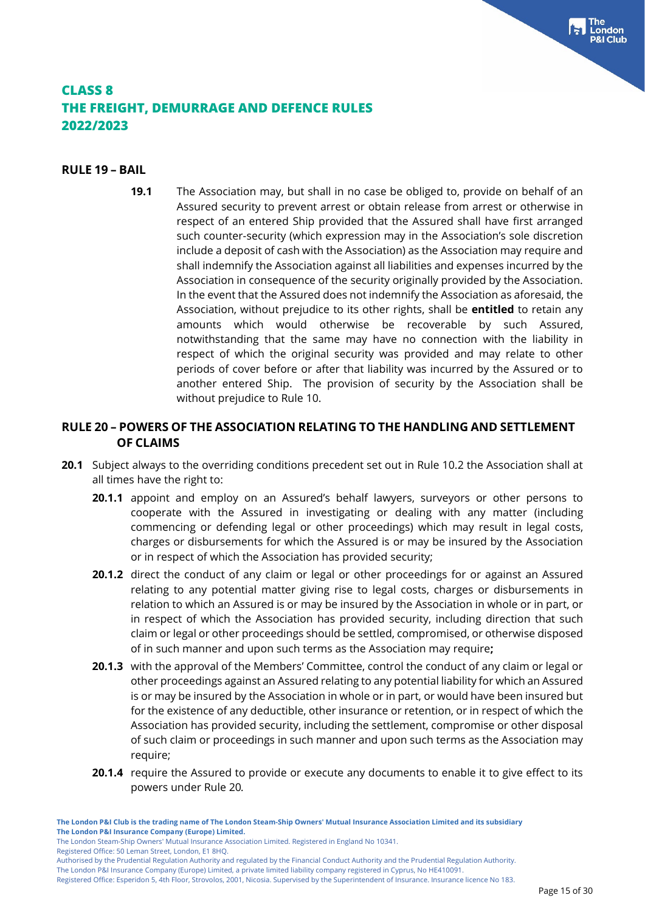#### **RULE 19 – BAIL**

**19.1** The Association may, but shall in no case be obliged to, provide on behalf of an Assured security to prevent arrest or obtain release from arrest or otherwise in respect of an entered Ship provided that the Assured shall have first arranged such counter-security (which expression may in the Association's sole discretion include a deposit of cash with the Association) as the Association may require and shall indemnify the Association against all liabilities and expenses incurred by the Association in consequence of the security originally provided by the Association. In the event that the Assured does not indemnify the Association as aforesaid, the Association, without prejudice to its other rights, shall be **entitled** to retain any amounts which would otherwise be recoverable by such Assured, notwithstanding that the same may have no connection with the liability in respect of which the original security was provided and may relate to other periods of cover before or after that liability was incurred by the Assured or to another entered Ship. The provision of security by the Association shall be without prejudice to Rule 10.

### **RULE 20 – POWERS OF THE ASSOCIATION RELATING TO THE HANDLING AND SETTLEMENT OF CLAIMS**

- **20.1** Subject always to the overriding conditions precedent set out in Rule 10.2 the Association shall at all times have the right to:
	- **20.1.1** appoint and employ on an Assured's behalf lawyers, surveyors or other persons to cooperate with the Assured in investigating or dealing with any matter (including commencing or defending legal or other proceedings) which may result in legal costs, charges or disbursements for which the Assured is or may be insured by the Association or in respect of which the Association has provided security;
	- 20.1.2 direct the conduct of any claim or legal or other proceedings for or against an Assured relating to any potential matter giving rise to legal costs, charges or disbursements in relation to which an Assured is or may be insured by the Association in whole or in part, or in respect of which the Association has provided security, including direction that such claim or legal or other proceedings should be settled, compromised, or otherwise disposed of in such manner and upon such terms as the Association may require**;**
	- **20.1.3** with the approval of the Members' Committee, control the conduct of any claim or legal or other proceedings against an Assured relating to any potential liability for which an Assured is or may be insured by the Association in whole or in part, or would have been insured but for the existence of any deductible, other insurance or retention, or in respect of which the Association has provided security, including the settlement, compromise or other disposal of such claim or proceedings in such manner and upon such terms as the Association may require;
	- **20.1.4** require the Assured to provide or execute any documents to enable it to give effect to its powers under Rule 20*.*

The London P&I Insurance Company (Europe) Limited, a private limited liability company registered in Cyprus, No HE410091.

Registered Office: Esperidon 5, 4th Floor, Strovolos, 2001, Nicosia. Supervised by the Superintendent of Insurance. Insurance licence No 183.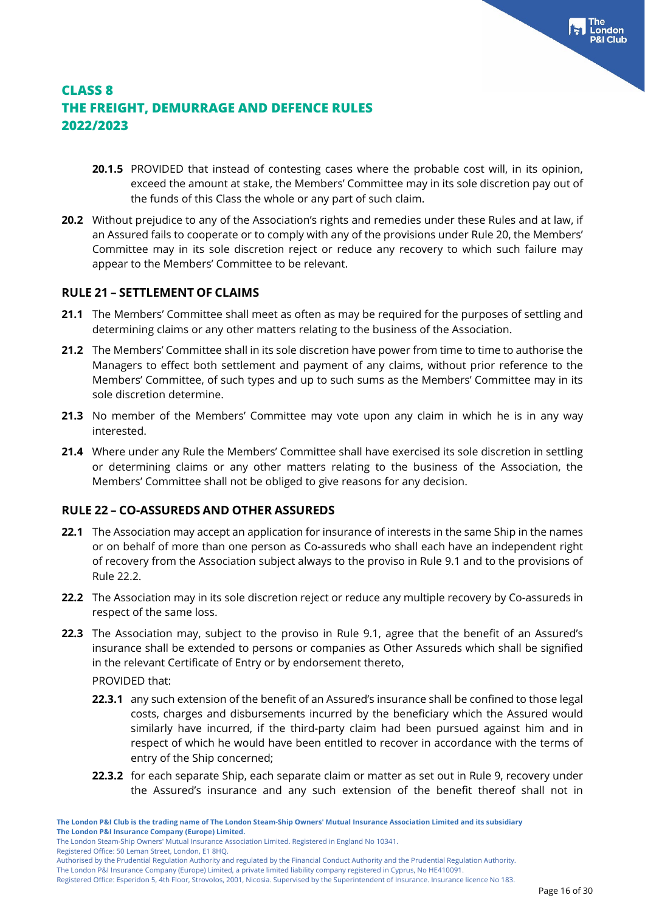- **20.1.5** PROVIDED that instead of contesting cases where the probable cost will, in its opinion, exceed the amount at stake, the Members' Committee may in its sole discretion pay out of the funds of this Class the whole or any part of such claim.
- **20.2** Without prejudice to any of the Association's rights and remedies under these Rules and at law, if an Assured fails to cooperate or to comply with any of the provisions under Rule 20, the Members' Committee may in its sole discretion reject or reduce any recovery to which such failure may appear to the Members' Committee to be relevant.

#### **RULE 21 – SETTLEMENT OF CLAIMS**

- **21.1** The Members' Committee shall meet as often as may be required for the purposes of settling and determining claims or any other matters relating to the business of the Association.
- **21.2** The Members' Committee shall in its sole discretion have power from time to time to authorise the Managers to effect both settlement and payment of any claims, without prior reference to the Members' Committee, of such types and up to such sums as the Members' Committee may in its sole discretion determine.
- **21.3** No member of the Members' Committee may vote upon any claim in which he is in any way interested.
- **21.4** Where under any Rule the Members' Committee shall have exercised its sole discretion in settling or determining claims or any other matters relating to the business of the Association, the Members' Committee shall not be obliged to give reasons for any decision.

### **RULE 22 – CO-ASSUREDS AND OTHER ASSUREDS**

- **22.1** The Association may accept an application for insurance of interests in the same Ship in the names or on behalf of more than one person as Co-assureds who shall each have an independent right of recovery from the Association subject always to the proviso in Rule 9.1 and to the provisions of Rule 22.2.
- **22.2** The Association may in its sole discretion reject or reduce any multiple recovery by Co-assureds in respect of the same loss.
- **22.3** The Association may, subject to the proviso in Rule 9.1, agree that the benefit of an Assured's insurance shall be extended to persons or companies as Other Assureds which shall be signified in the relevant Certificate of Entry or by endorsement thereto, PROVIDED that:
	- **22.3.1** any such extension of the benefit of an Assured's insurance shall be confined to those legal costs, charges and disbursements incurred by the beneficiary which the Assured would similarly have incurred, if the third-party claim had been pursued against him and in respect of which he would have been entitled to recover in accordance with the terms of entry of the Ship concerned;
	- **22.3.2** for each separate Ship, each separate claim or matter as set out in Rule 9, recovery under the Assured's insurance and any such extension of the benefit thereof shall not in

The London Steam-Ship Owners' Mutual Insurance Association Limited. Registered in England No 10341.

Registered Office: 50 Leman Street, London, E1 8HQ.

Authorised by the Prudential Regulation Authority and regulated by the Financial Conduct Authority and the Prudential Regulation Authority.

The London P&I Insurance Company (Europe) Limited, a private limited liability company registered in Cyprus, No HE410091.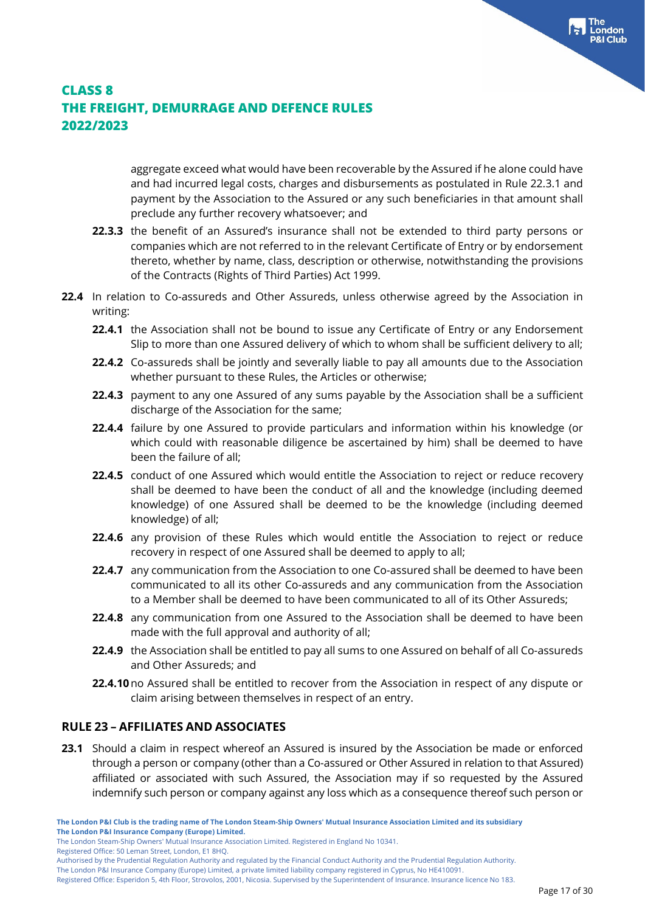aggregate exceed what would have been recoverable by the Assured if he alone could have and had incurred legal costs, charges and disbursements as postulated in Rule 22.3.1 and payment by the Association to the Assured or any such beneficiaries in that amount shall preclude any further recovery whatsoever; and

- **22.3.3** the benefit of an Assured's insurance shall not be extended to third party persons or companies which are not referred to in the relevant Certificate of Entry or by endorsement thereto, whether by name, class, description or otherwise, notwithstanding the provisions of the Contracts (Rights of Third Parties) Act 1999.
- **22.4** In relation to Co-assureds and Other Assureds, unless otherwise agreed by the Association in writing:
	- **22.4.1** the Association shall not be bound to issue any Certificate of Entry or any Endorsement Slip to more than one Assured delivery of which to whom shall be sufficient delivery to all;
	- **22.4.2** Co-assureds shall be jointly and severally liable to pay all amounts due to the Association whether pursuant to these Rules, the Articles or otherwise;
	- **22.4.3** payment to any one Assured of any sums payable by the Association shall be a sufficient discharge of the Association for the same;
	- **22.4.4** failure by one Assured to provide particulars and information within his knowledge (or which could with reasonable diligence be ascertained by him) shall be deemed to have been the failure of all;
	- **22.4.5** conduct of one Assured which would entitle the Association to reject or reduce recovery shall be deemed to have been the conduct of all and the knowledge (including deemed knowledge) of one Assured shall be deemed to be the knowledge (including deemed knowledge) of all;
	- **22.4.6** any provision of these Rules which would entitle the Association to reject or reduce recovery in respect of one Assured shall be deemed to apply to all;
	- **22.4.7** any communication from the Association to one Co-assured shall be deemed to have been communicated to all its other Co-assureds and any communication from the Association to a Member shall be deemed to have been communicated to all of its Other Assureds;
	- **22.4.8** any communication from one Assured to the Association shall be deemed to have been made with the full approval and authority of all;
	- **22.4.9** the Association shall be entitled to pay all sums to one Assured on behalf of all Co-assureds and Other Assureds; and
	- **22.4.10**no Assured shall be entitled to recover from the Association in respect of any dispute or claim arising between themselves in respect of an entry.

### **RULE 23 – AFFILIATES AND ASSOCIATES**

**23.1** Should a claim in respect whereof an Assured is insured by the Association be made or enforced through a person or company (other than a Co-assured or Other Assured in relation to that Assured) affiliated or associated with such Assured, the Association may if so requested by the Assured indemnify such person or company against any loss which as a consequence thereof such person or

Registered Office: 50 Leman Street, London, E1 8HQ.

The London P&I Insurance Company (Europe) Limited, a private limited liability company registered in Cyprus, No HE410091.

The London Steam-Ship Owners' Mutual Insurance Association Limited. Registered in England No 10341.

Authorised by the Prudential Regulation Authority and regulated by the Financial Conduct Authority and the Prudential Regulation Authority.

Registered Office: Esperidon 5, 4th Floor, Strovolos, 2001, Nicosia. Supervised by the Superintendent of Insurance. Insurance licence No 183.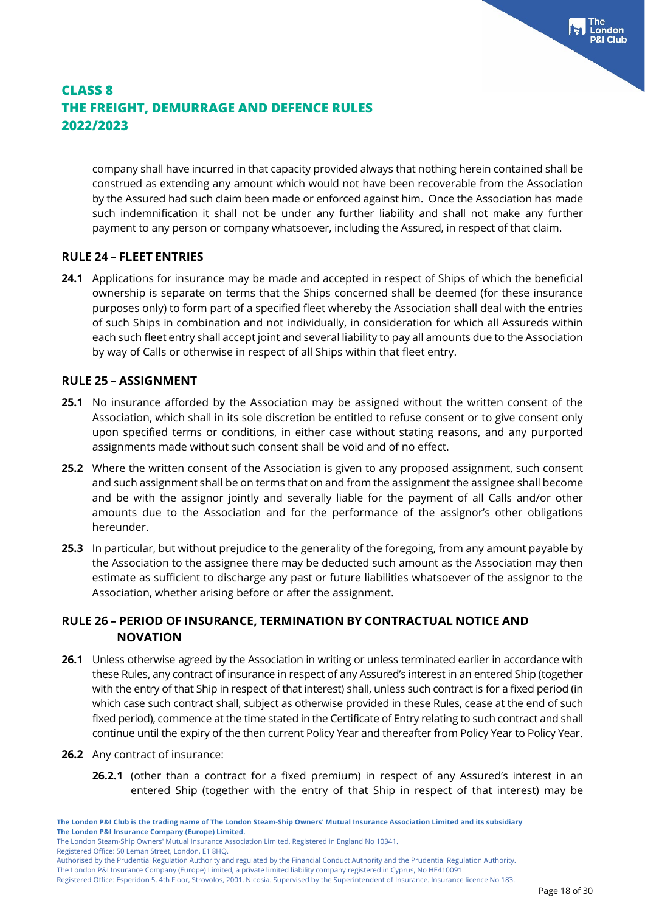company shall have incurred in that capacity provided always that nothing herein contained shall be construed as extending any amount which would not have been recoverable from the Association by the Assured had such claim been made or enforced against him. Once the Association has made such indemnification it shall not be under any further liability and shall not make any further payment to any person or company whatsoever, including the Assured, in respect of that claim.

#### **RULE 24 – FLEET ENTRIES**

**24.1** Applications for insurance may be made and accepted in respect of Ships of which the beneficial ownership is separate on terms that the Ships concerned shall be deemed (for these insurance purposes only) to form part of a specified fleet whereby the Association shall deal with the entries of such Ships in combination and not individually, in consideration for which all Assureds within each such fleet entry shall accept joint and several liability to pay all amounts due to the Association by way of Calls or otherwise in respect of all Ships within that fleet entry.

#### **RULE 25 – ASSIGNMENT**

- **25.1** No insurance afforded by the Association may be assigned without the written consent of the Association, which shall in its sole discretion be entitled to refuse consent or to give consent only upon specified terms or conditions, in either case without stating reasons, and any purported assignments made without such consent shall be void and of no effect.
- **25.2** Where the written consent of the Association is given to any proposed assignment, such consent and such assignment shall be on terms that on and from the assignment the assignee shall become and be with the assignor jointly and severally liable for the payment of all Calls and/or other amounts due to the Association and for the performance of the assignor's other obligations hereunder.
- **25.3** In particular, but without prejudice to the generality of the foregoing, from any amount payable by the Association to the assignee there may be deducted such amount as the Association may then estimate as sufficient to discharge any past or future liabilities whatsoever of the assignor to the Association, whether arising before or after the assignment.

### **RULE 26 – PERIOD OF INSURANCE, TERMINATION BY CONTRACTUAL NOTICE AND NOVATION**

- **26.1** Unless otherwise agreed by the Association in writing or unless terminated earlier in accordance with these Rules, any contract of insurance in respect of any Assured's interest in an entered Ship (together with the entry of that Ship in respect of that interest) shall, unless such contract is for a fixed period (in which case such contract shall, subject as otherwise provided in these Rules, cease at the end of such fixed period), commence at the time stated in the Certificate of Entry relating to such contract and shall continue until the expiry of the then current Policy Year and thereafter from Policy Year to Policy Year.
- **26.2** Any contract of insurance:
	- **26.2.1** (other than a contract for a fixed premium) in respect of any Assured's interest in an entered Ship (together with the entry of that Ship in respect of that interest) may be

Registered Office: 50 Leman Street, London, E1 8HQ.

The London P&I Insurance Company (Europe) Limited, a private limited liability company registered in Cyprus, No HE410091.

The London Steam-Ship Owners' Mutual Insurance Association Limited. Registered in England No 10341.

Authorised by the Prudential Regulation Authority and regulated by the Financial Conduct Authority and the Prudential Regulation Authority.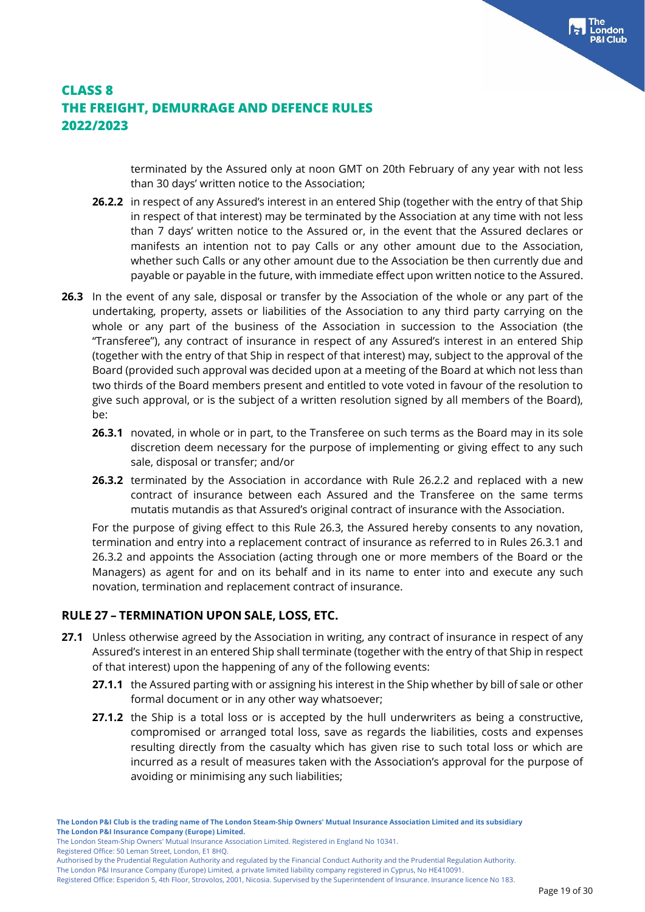terminated by the Assured only at noon GMT on 20th February of any year with not less than 30 days' written notice to the Association;

- **26.2.2** in respect of any Assured's interest in an entered Ship (together with the entry of that Ship in respect of that interest) may be terminated by the Association at any time with not less than 7 days' written notice to the Assured or, in the event that the Assured declares or manifests an intention not to pay Calls or any other amount due to the Association, whether such Calls or any other amount due to the Association be then currently due and payable or payable in the future, with immediate effect upon written notice to the Assured.
- **26.3** In the event of any sale, disposal or transfer by the Association of the whole or any part of the undertaking, property, assets or liabilities of the Association to any third party carrying on the whole or any part of the business of the Association in succession to the Association (the "Transferee"), any contract of insurance in respect of any Assured's interest in an entered Ship (together with the entry of that Ship in respect of that interest) may, subject to the approval of the Board (provided such approval was decided upon at a meeting of the Board at which not less than two thirds of the Board members present and entitled to vote voted in favour of the resolution to give such approval, or is the subject of a written resolution signed by all members of the Board), be:
	- **26.3.1** novated, in whole or in part, to the Transferee on such terms as the Board may in its sole discretion deem necessary for the purpose of implementing or giving effect to any such sale, disposal or transfer; and/or
	- **26.3.2** terminated by the Association in accordance with Rule 26.2.2 and replaced with a new contract of insurance between each Assured and the Transferee on the same terms mutatis mutandis as that Assured's original contract of insurance with the Association.

For the purpose of giving effect to this Rule 26.3, the Assured hereby consents to any novation, termination and entry into a replacement contract of insurance as referred to in Rules 26.3.1 and 26.3.2 and appoints the Association (acting through one or more members of the Board or the Managers) as agent for and on its behalf and in its name to enter into and execute any such novation, termination and replacement contract of insurance.

### **RULE 27 – TERMINATION UPON SALE, LOSS, ETC.**

- **27.1** Unless otherwise agreed by the Association in writing, any contract of insurance in respect of any Assured's interest in an entered Ship shall terminate (together with the entry of that Ship in respect of that interest) upon the happening of any of the following events:
	- **27.1.1** the Assured parting with or assigning his interest in the Ship whether by bill of sale or other formal document or in any other way whatsoever;
	- **27.1.2** the Ship is a total loss or is accepted by the hull underwriters as being a constructive, compromised or arranged total loss, save as regards the liabilities, costs and expenses resulting directly from the casualty which has given rise to such total loss or which are incurred as a result of measures taken with the Association's approval for the purpose of avoiding or minimising any such liabilities;

The London Steam-Ship Owners' Mutual Insurance Association Limited. Registered in England No 10341.

Registered Office: 50 Leman Street, London, E1 8HQ.

The London P&I Insurance Company (Europe) Limited, a private limited liability company registered in Cyprus, No HE410091.

Authorised by the Prudential Regulation Authority and regulated by the Financial Conduct Authority and the Prudential Regulation Authority.

Registered Office: Esperidon 5, 4th Floor, Strovolos, 2001, Nicosia. Supervised by the Superintendent of Insurance. Insurance licence No 183.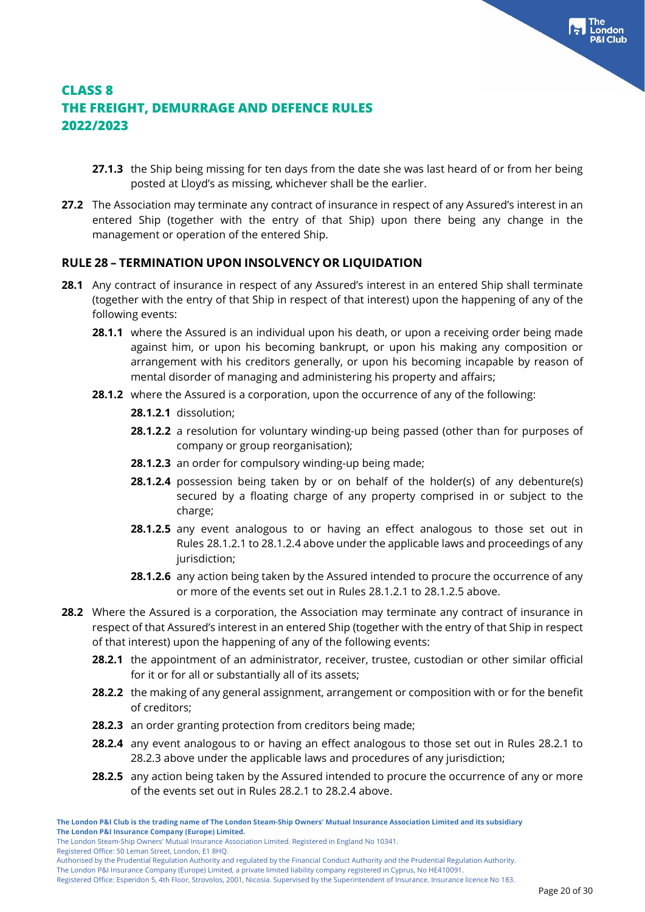- **27.1.3** the Ship being missing for ten days from the date she was last heard of or from her being posted at Lloyd's as missing, whichever shall be the earlier.
- **27.2** The Association may terminate any contract of insurance in respect of any Assured's interest in an entered Ship (together with the entry of that Ship) upon there being any change in the management or operation of the entered Ship.

### **RULE 28 – TERMINATION UPON INSOLVENCY OR LIQUIDATION**

- **28.1** Any contract of insurance in respect of any Assured's interest in an entered Ship shall terminate (together with the entry of that Ship in respect of that interest) upon the happening of any of the following events:
	- **28.1.1** where the Assured is an individual upon his death, or upon a receiving order being made against him, or upon his becoming bankrupt, or upon his making any composition or arrangement with his creditors generally, or upon his becoming incapable by reason of mental disorder of managing and administering his property and affairs;
	- **28.1.2** where the Assured is a corporation, upon the occurrence of any of the following:
		- **28.1.2.1** dissolution;
		- **28.1.2.2** a resolution for voluntary winding-up being passed (other than for purposes of company or group reorganisation);
		- **28.1.2.3** an order for compulsory winding-up being made;
		- **28.1.2.4** possession being taken by or on behalf of the holder(s) of any debenture(s) secured by a floating charge of any property comprised in or subject to the charge;
		- **28.1.2.5** any event analogous to or having an effect analogous to those set out in Rules 28.1.2.1 to 28.1.2.4 above under the applicable laws and proceedings of any jurisdiction;
		- **28.1.2.6** any action being taken by the Assured intended to procure the occurrence of any or more of the events set out in Rules 28.1.2.1 to 28.1.2.5 above.
- **28.2** Where the Assured is a corporation, the Association may terminate any contract of insurance in respect of that Assured's interest in an entered Ship (together with the entry of that Ship in respect of that interest) upon the happening of any of the following events:
	- **28.2.1** the appointment of an administrator, receiver, trustee, custodian or other similar official for it or for all or substantially all of its assets;
	- **28.2.2** the making of any general assignment, arrangement or composition with or for the benefit of creditors;
	- **28.2.3** an order granting protection from creditors being made;
	- **28.2.4** any event analogous to or having an effect analogous to those set out in Rules 28.2.1 to 28.2.3 above under the applicable laws and procedures of any jurisdiction;
	- **28.2.5** any action being taken by the Assured intended to procure the occurrence of any or more of the events set out in Rules 28.2.1 to 28.2.4 above.

The London Steam-Ship Owners' Mutual Insurance Association Limited. Registered in England No 10341.

Registered Office: 50 Leman Street, London, E1 8HQ.

Authorised by the Prudential Regulation Authority and regulated by the Financial Conduct Authority and the Prudential Regulation Authority.

The London P&I Insurance Company (Europe) Limited, a private limited liability company registered in Cyprus, No HE410091.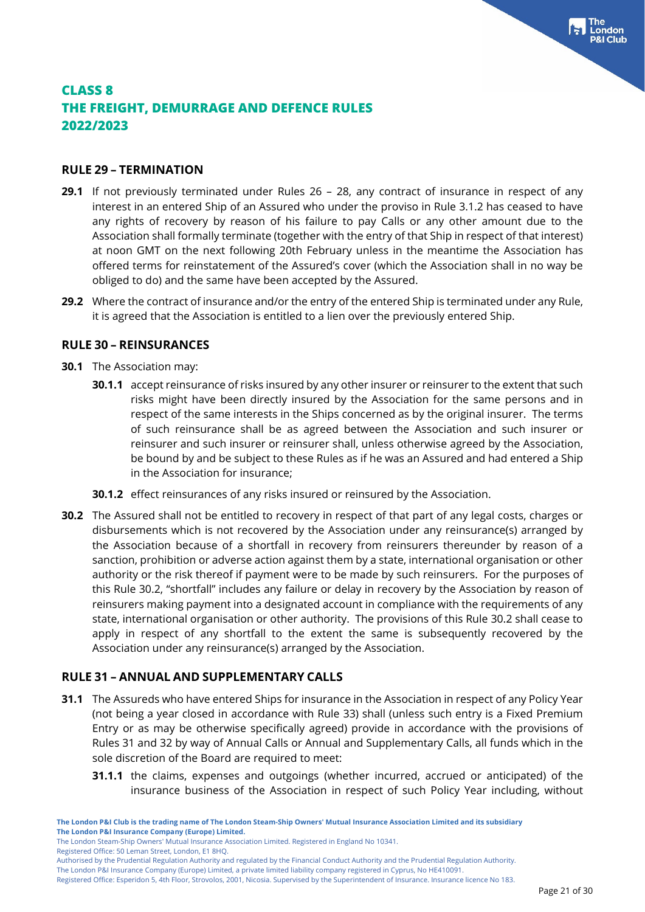#### **RULE 29 – TERMINATION**

- **29.1** If not previously terminated under Rules 26 28, any contract of insurance in respect of any interest in an entered Ship of an Assured who under the proviso in Rule 3.1.2 has ceased to have any rights of recovery by reason of his failure to pay Calls or any other amount due to the Association shall formally terminate (together with the entry of that Ship in respect of that interest) at noon GMT on the next following 20th February unless in the meantime the Association has offered terms for reinstatement of the Assured's cover (which the Association shall in no way be obliged to do) and the same have been accepted by the Assured.
- **29.2** Where the contract of insurance and/or the entry of the entered Ship is terminated under any Rule, it is agreed that the Association is entitled to a lien over the previously entered Ship.

#### **RULE 30 – REINSURANCES**

- **30.1** The Association may:
	- **30.1.1** accept reinsurance of risks insured by any other insurer or reinsurer to the extent that such risks might have been directly insured by the Association for the same persons and in respect of the same interests in the Ships concerned as by the original insurer. The terms of such reinsurance shall be as agreed between the Association and such insurer or reinsurer and such insurer or reinsurer shall, unless otherwise agreed by the Association, be bound by and be subject to these Rules as if he was an Assured and had entered a Ship in the Association for insurance;
	- **30.1.2** effect reinsurances of any risks insured or reinsured by the Association.
- **30.2** The Assured shall not be entitled to recovery in respect of that part of any legal costs, charges or disbursements which is not recovered by the Association under any reinsurance(s) arranged by the Association because of a shortfall in recovery from reinsurers thereunder by reason of a sanction, prohibition or adverse action against them by a state, international organisation or other authority or the risk thereof if payment were to be made by such reinsurers. For the purposes of this Rule 30.2, "shortfall" includes any failure or delay in recovery by the Association by reason of reinsurers making payment into a designated account in compliance with the requirements of any state, international organisation or other authority. The provisions of this Rule 30.2 shall cease to apply in respect of any shortfall to the extent the same is subsequently recovered by the Association under any reinsurance(s) arranged by the Association.

#### **RULE 31 – ANNUAL AND SUPPLEMENTARY CALLS**

- **31.1** The Assureds who have entered Ships for insurance in the Association in respect of any Policy Year (not being a year closed in accordance with Rule 33) shall (unless such entry is a Fixed Premium Entry or as may be otherwise specifically agreed) provide in accordance with the provisions of Rules 31 and 32 by way of Annual Calls or Annual and Supplementary Calls, all funds which in the sole discretion of the Board are required to meet:
	- **31.1.1** the claims, expenses and outgoings (whether incurred, accrued or anticipated) of the insurance business of the Association in respect of such Policy Year including, without

Registered Office: 50 Leman Street, London, E1 8HQ.

The London P&I Insurance Company (Europe) Limited, a private limited liability company registered in Cyprus, No HE410091.

Registered Office: Esperidon 5, 4th Floor, Strovolos, 2001, Nicosia. Supervised by the Superintendent of Insurance. Insurance licence No 183.

**The London P&I Club is the trading name of The London Steam-Ship Owners' Mutual Insurance Association Limited and its subsidiary The London P&I Insurance Company (Europe) Limited.**

The London Steam-Ship Owners' Mutual Insurance Association Limited. Registered in England No 10341.

Authorised by the Prudential Regulation Authority and regulated by the Financial Conduct Authority and the Prudential Regulation Authority.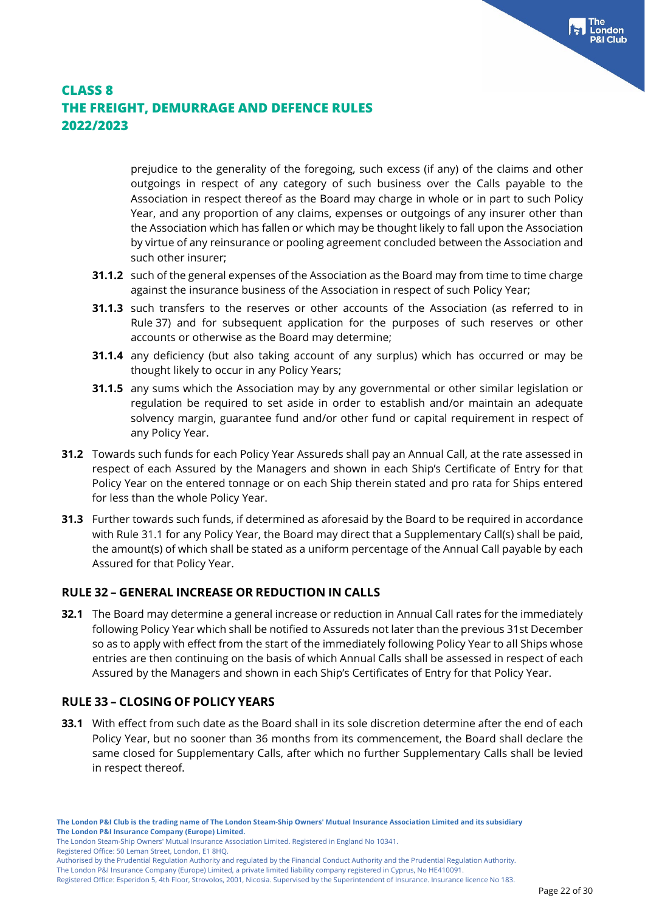prejudice to the generality of the foregoing, such excess (if any) of the claims and other outgoings in respect of any category of such business over the Calls payable to the Association in respect thereof as the Board may charge in whole or in part to such Policy Year, and any proportion of any claims, expenses or outgoings of any insurer other than the Association which has fallen or which may be thought likely to fall upon the Association by virtue of any reinsurance or pooling agreement concluded between the Association and such other insurer;

- **31.1.2** such of the general expenses of the Association as the Board may from time to time charge against the insurance business of the Association in respect of such Policy Year;
- **31.1.3** such transfers to the reserves or other accounts of the Association (as referred to in Rule 37) and for subsequent application for the purposes of such reserves or other accounts or otherwise as the Board may determine;
- **31.1.4** any deficiency (but also taking account of any surplus) which has occurred or may be thought likely to occur in any Policy Years;
- **31.1.5** any sums which the Association may by any governmental or other similar legislation or regulation be required to set aside in order to establish and/or maintain an adequate solvency margin, guarantee fund and/or other fund or capital requirement in respect of any Policy Year.
- **31.2** Towards such funds for each Policy Year Assureds shall pay an Annual Call, at the rate assessed in respect of each Assured by the Managers and shown in each Ship's Certificate of Entry for that Policy Year on the entered tonnage or on each Ship therein stated and pro rata for Ships entered for less than the whole Policy Year.
- **31.3** Further towards such funds, if determined as aforesaid by the Board to be required in accordance with Rule 31.1 for any Policy Year, the Board may direct that a Supplementary Call(s) shall be paid, the amount(s) of which shall be stated as a uniform percentage of the Annual Call payable by each Assured for that Policy Year.

### **RULE 32 – GENERAL INCREASE OR REDUCTION IN CALLS**

**32.1** The Board may determine a general increase or reduction in Annual Call rates for the immediately following Policy Year which shall be notified to Assureds not later than the previous 31st December so as to apply with effect from the start of the immediately following Policy Year to all Ships whose entries are then continuing on the basis of which Annual Calls shall be assessed in respect of each Assured by the Managers and shown in each Ship's Certificates of Entry for that Policy Year.

### **RULE 33 – CLOSING OF POLICY YEARS**

**33.1** With effect from such date as the Board shall in its sole discretion determine after the end of each Policy Year, but no sooner than 36 months from its commencement, the Board shall declare the same closed for Supplementary Calls, after which no further Supplementary Calls shall be levied in respect thereof.

The London Steam-Ship Owners' Mutual Insurance Association Limited. Registered in England No 10341.

Registered Office: 50 Leman Street, London, E1 8HQ.

Authorised by the Prudential Regulation Authority and regulated by the Financial Conduct Authority and the Prudential Regulation Authority.

The London P&I Insurance Company (Europe) Limited, a private limited liability company registered in Cyprus, No HE410091.

Registered Office: Esperidon 5, 4th Floor, Strovolos, 2001, Nicosia. Supervised by the Superintendent of Insurance. Insurance licence No 183.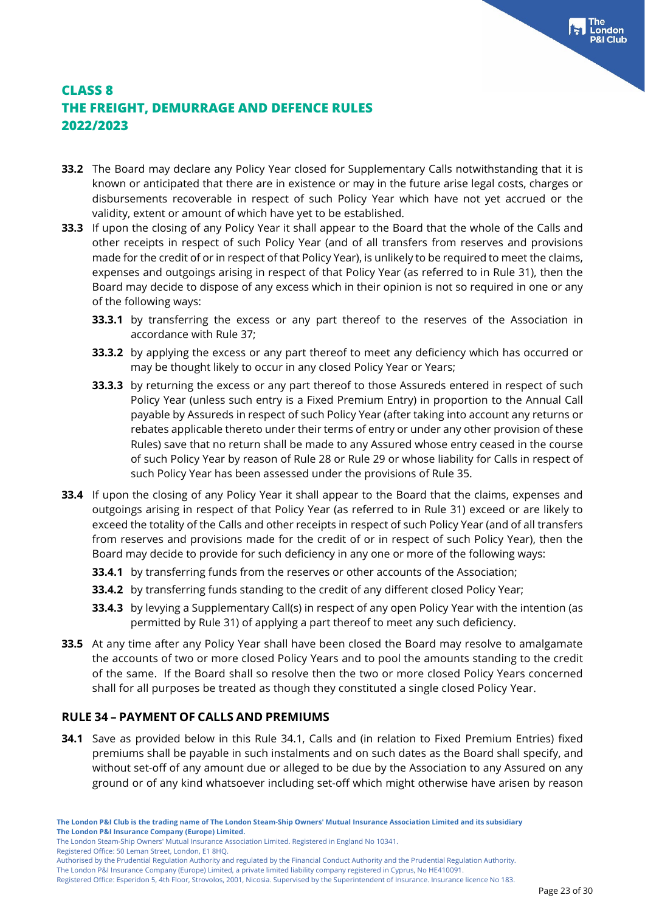- **33.2** The Board may declare any Policy Year closed for Supplementary Calls notwithstanding that it is known or anticipated that there are in existence or may in the future arise legal costs, charges or disbursements recoverable in respect of such Policy Year which have not yet accrued or the validity, extent or amount of which have yet to be established.
- **33.3** If upon the closing of any Policy Year it shall appear to the Board that the whole of the Calls and other receipts in respect of such Policy Year (and of all transfers from reserves and provisions made for the credit of or in respect of that Policy Year), is unlikely to be required to meet the claims, expenses and outgoings arising in respect of that Policy Year (as referred to in Rule 31), then the Board may decide to dispose of any excess which in their opinion is not so required in one or any of the following ways:
	- **33.3.1** by transferring the excess or any part thereof to the reserves of the Association in accordance with Rule 37;
	- **33.3.2** by applying the excess or any part thereof to meet any deficiency which has occurred or may be thought likely to occur in any closed Policy Year or Years;
	- **33.3.3** by returning the excess or any part thereof to those Assureds entered in respect of such Policy Year (unless such entry is a Fixed Premium Entry) in proportion to the Annual Call payable by Assureds in respect of such Policy Year (after taking into account any returns or rebates applicable thereto under their terms of entry or under any other provision of these Rules) save that no return shall be made to any Assured whose entry ceased in the course of such Policy Year by reason of Rule 28 or Rule 29 or whose liability for Calls in respect of such Policy Year has been assessed under the provisions of Rule 35.
- **33.4** If upon the closing of any Policy Year it shall appear to the Board that the claims, expenses and outgoings arising in respect of that Policy Year (as referred to in Rule 31) exceed or are likely to exceed the totality of the Calls and other receipts in respect of such Policy Year (and of all transfers from reserves and provisions made for the credit of or in respect of such Policy Year), then the Board may decide to provide for such deficiency in any one or more of the following ways:
	- **33.4.1** by transferring funds from the reserves or other accounts of the Association;
	- **33.4.2** by transferring funds standing to the credit of any different closed Policy Year;
	- **33.4.3** by levying a Supplementary Call(s) in respect of any open Policy Year with the intention (as permitted by Rule 31) of applying a part thereof to meet any such deficiency.
- **33.5** At any time after any Policy Year shall have been closed the Board may resolve to amalgamate the accounts of two or more closed Policy Years and to pool the amounts standing to the credit of the same. If the Board shall so resolve then the two or more closed Policy Years concerned shall for all purposes be treated as though they constituted a single closed Policy Year.

#### **RULE 34 – PAYMENT OF CALLS AND PREMIUMS**

**34.1** Save as provided below in this Rule 34.1, Calls and (in relation to Fixed Premium Entries) fixed premiums shall be payable in such instalments and on such dates as the Board shall specify, and without set-off of any amount due or alleged to be due by the Association to any Assured on any ground or of any kind whatsoever including set-off which might otherwise have arisen by reason

Registered Office: 50 Leman Street, London, E1 8HQ.

The London P&I Insurance Company (Europe) Limited, a private limited liability company registered in Cyprus, No HE410091.

Registered Office: Esperidon 5, 4th Floor, Strovolos, 2001, Nicosia. Supervised by the Superintendent of Insurance. Insurance licence No 183.

The London Steam-Ship Owners' Mutual Insurance Association Limited. Registered in England No 10341.

Authorised by the Prudential Regulation Authority and regulated by the Financial Conduct Authority and the Prudential Regulation Authority.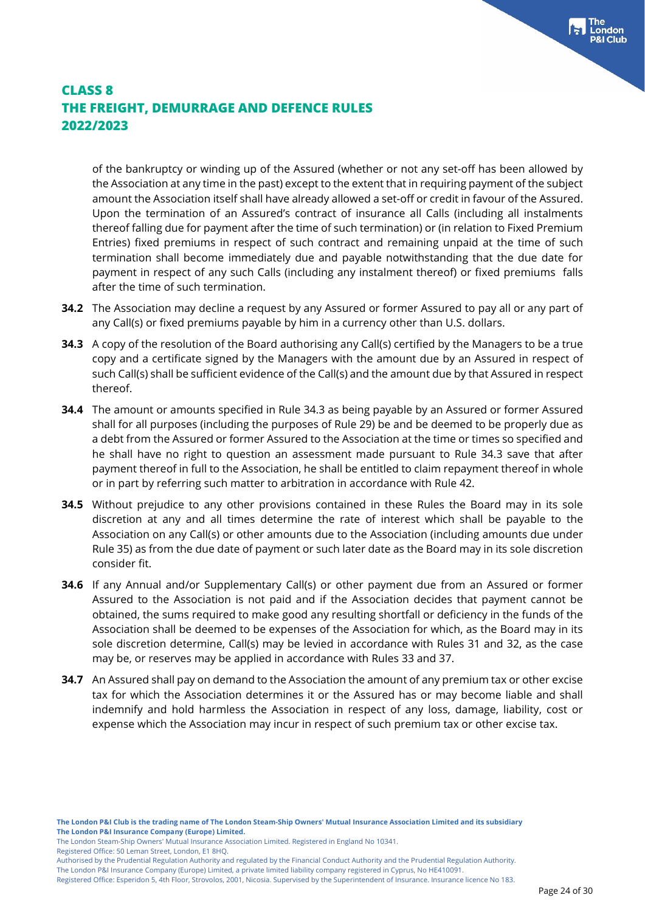of the bankruptcy or winding up of the Assured (whether or not any set-off has been allowed by the Association at any time in the past) except to the extent that in requiring payment of the subject amount the Association itself shall have already allowed a set-off or credit in favour of the Assured. Upon the termination of an Assured's contract of insurance all Calls (including all instalments thereof falling due for payment after the time of such termination) or (in relation to Fixed Premium Entries) fixed premiums in respect of such contract and remaining unpaid at the time of such termination shall become immediately due and payable notwithstanding that the due date for payment in respect of any such Calls (including any instalment thereof) or fixed premiums falls after the time of such termination.

- **34.2** The Association may decline a request by any Assured or former Assured to pay all or any part of any Call(s) or fixed premiums payable by him in a currency other than U.S. dollars.
- **34.3** A copy of the resolution of the Board authorising any Call(s) certified by the Managers to be a true copy and a certificate signed by the Managers with the amount due by an Assured in respect of such Call(s) shall be sufficient evidence of the Call(s) and the amount due by that Assured in respect thereof.
- **34.4** The amount or amounts specified in Rule 34.3 as being payable by an Assured or former Assured shall for all purposes (including the purposes of Rule 29) be and be deemed to be properly due as a debt from the Assured or former Assured to the Association at the time or times so specified and he shall have no right to question an assessment made pursuant to Rule 34.3 save that after payment thereof in full to the Association, he shall be entitled to claim repayment thereof in whole or in part by referring such matter to arbitration in accordance with Rule 42.
- **34.5** Without prejudice to any other provisions contained in these Rules the Board may in its sole discretion at any and all times determine the rate of interest which shall be payable to the Association on any Call(s) or other amounts due to the Association (including amounts due under Rule 35) as from the due date of payment or such later date as the Board may in its sole discretion consider fit.
- **34.6** If any Annual and/or Supplementary Call(s) or other payment due from an Assured or former Assured to the Association is not paid and if the Association decides that payment cannot be obtained, the sums required to make good any resulting shortfall or deficiency in the funds of the Association shall be deemed to be expenses of the Association for which, as the Board may in its sole discretion determine, Call(s) may be levied in accordance with Rules 31 and 32, as the case may be, or reserves may be applied in accordance with Rules 33 and 37.
- **34.7** An Assured shall pay on demand to the Association the amount of any premium tax or other excise tax for which the Association determines it or the Assured has or may become liable and shall indemnify and hold harmless the Association in respect of any loss, damage, liability, cost or expense which the Association may incur in respect of such premium tax or other excise tax.

Registered Office: 50 Leman Street, London, E1 8HQ.

The London P&I Insurance Company (Europe) Limited, a private limited liability company registered in Cyprus, No HE410091.

Registered Office: Esperidon 5, 4th Floor, Strovolos, 2001, Nicosia. Supervised by the Superintendent of Insurance. Insurance licence No 183.

The London Steam-Ship Owners' Mutual Insurance Association Limited. Registered in England No 10341.

Authorised by the Prudential Regulation Authority and regulated by the Financial Conduct Authority and the Prudential Regulation Authority.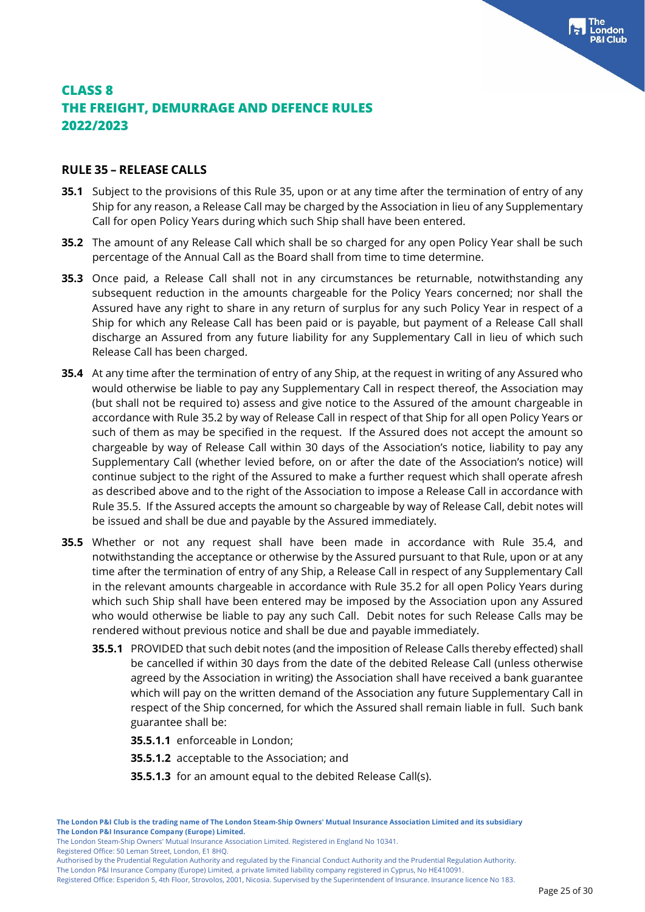#### **RULE 35 – RELEASE CALLS**

- **35.1** Subject to the provisions of this Rule 35, upon or at any time after the termination of entry of any Ship for any reason, a Release Call may be charged by the Association in lieu of any Supplementary Call for open Policy Years during which such Ship shall have been entered.
- **35.2** The amount of any Release Call which shall be so charged for any open Policy Year shall be such percentage of the Annual Call as the Board shall from time to time determine.
- **35.3** Once paid, a Release Call shall not in any circumstances be returnable, notwithstanding any subsequent reduction in the amounts chargeable for the Policy Years concerned; nor shall the Assured have any right to share in any return of surplus for any such Policy Year in respect of a Ship for which any Release Call has been paid or is payable, but payment of a Release Call shall discharge an Assured from any future liability for any Supplementary Call in lieu of which such Release Call has been charged.
- **35.4** At any time after the termination of entry of any Ship, at the request in writing of any Assured who would otherwise be liable to pay any Supplementary Call in respect thereof, the Association may (but shall not be required to) assess and give notice to the Assured of the amount chargeable in accordance with Rule 35.2 by way of Release Call in respect of that Ship for all open Policy Years or such of them as may be specified in the request. If the Assured does not accept the amount so chargeable by way of Release Call within 30 days of the Association's notice, liability to pay any Supplementary Call (whether levied before, on or after the date of the Association's notice) will continue subject to the right of the Assured to make a further request which shall operate afresh as described above and to the right of the Association to impose a Release Call in accordance with Rule 35.5. If the Assured accepts the amount so chargeable by way of Release Call, debit notes will be issued and shall be due and payable by the Assured immediately.
- **35.5** Whether or not any request shall have been made in accordance with Rule 35.4, and notwithstanding the acceptance or otherwise by the Assured pursuant to that Rule, upon or at any time after the termination of entry of any Ship, a Release Call in respect of any Supplementary Call in the relevant amounts chargeable in accordance with Rule 35.2 for all open Policy Years during which such Ship shall have been entered may be imposed by the Association upon any Assured who would otherwise be liable to pay any such Call. Debit notes for such Release Calls may be rendered without previous notice and shall be due and payable immediately.
	- **35.5.1** PROVIDED that such debit notes (and the imposition of Release Calls thereby effected) shall be cancelled if within 30 days from the date of the debited Release Call (unless otherwise agreed by the Association in writing) the Association shall have received a bank guarantee which will pay on the written demand of the Association any future Supplementary Call in respect of the Ship concerned, for which the Assured shall remain liable in full. Such bank guarantee shall be:
		- **35.5.1.1** enforceable in London;
		- **35.5.1.2** acceptable to the Association; and
		- **35.5.1.3** for an amount equal to the debited Release Call(s).

The London Steam-Ship Owners' Mutual Insurance Association Limited. Registered in England No 10341.

Registered Office: 50 Leman Street, London, E1 8HQ.

Authorised by the Prudential Regulation Authority and regulated by the Financial Conduct Authority and the Prudential Regulation Authority.

The London P&I Insurance Company (Europe) Limited, a private limited liability company registered in Cyprus, No HE410091.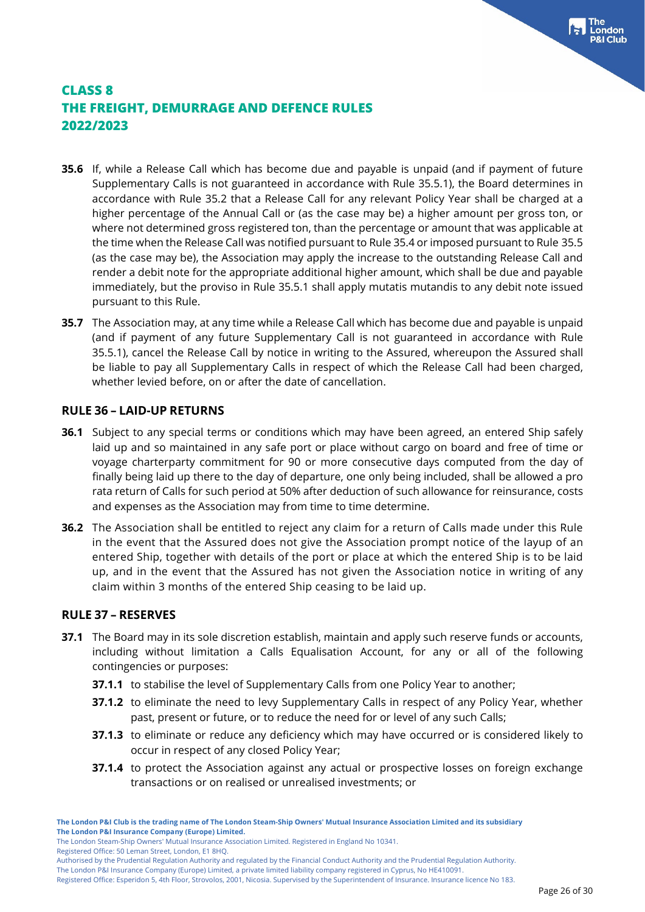- **35.6** If, while a Release Call which has become due and payable is unpaid (and if payment of future Supplementary Calls is not guaranteed in accordance with Rule 35.5.1), the Board determines in accordance with Rule 35.2 that a Release Call for any relevant Policy Year shall be charged at a higher percentage of the Annual Call or (as the case may be) a higher amount per gross ton, or where not determined gross registered ton, than the percentage or amount that was applicable at the time when the Release Call was notified pursuant to Rule 35.4 or imposed pursuant to Rule 35.5 (as the case may be), the Association may apply the increase to the outstanding Release Call and render a debit note for the appropriate additional higher amount, which shall be due and payable immediately, but the proviso in Rule 35.5.1 shall apply mutatis mutandis to any debit note issued pursuant to this Rule.
- **35.7** The Association may, at any time while a Release Call which has become due and payable is unpaid (and if payment of any future Supplementary Call is not guaranteed in accordance with Rule 35.5.1), cancel the Release Call by notice in writing to the Assured, whereupon the Assured shall be liable to pay all Supplementary Calls in respect of which the Release Call had been charged, whether levied before, on or after the date of cancellation.

#### **RULE 36 – LAID-UP RETURNS**

- **36.1** Subject to any special terms or conditions which may have been agreed, an entered Ship safely laid up and so maintained in any safe port or place without cargo on board and free of time or voyage charterparty commitment for 90 or more consecutive days computed from the day of finally being laid up there to the day of departure, one only being included, shall be allowed a pro rata return of Calls for such period at 50% after deduction of such allowance for reinsurance, costs and expenses as the Association may from time to time determine.
- **36.2** The Association shall be entitled to reject any claim for a return of Calls made under this Rule in the event that the Assured does not give the Association prompt notice of the layup of an entered Ship, together with details of the port or place at which the entered Ship is to be laid up, and in the event that the Assured has not given the Association notice in writing of any claim within 3 months of the entered Ship ceasing to be laid up.

#### **RULE 37 – RESERVES**

- **37.1** The Board may in its sole discretion establish, maintain and apply such reserve funds or accounts, including without limitation a Calls Equalisation Account, for any or all of the following contingencies or purposes:
	- **37.1.1** to stabilise the level of Supplementary Calls from one Policy Year to another;
	- **37.1.2** to eliminate the need to levy Supplementary Calls in respect of any Policy Year, whether past, present or future, or to reduce the need for or level of any such Calls;
	- **37.1.3** to eliminate or reduce any deficiency which may have occurred or is considered likely to occur in respect of any closed Policy Year;
	- **37.1.4** to protect the Association against any actual or prospective losses on foreign exchange transactions or on realised or unrealised investments; or

The London Steam-Ship Owners' Mutual Insurance Association Limited. Registered in England No 10341.

Registered Office: 50 Leman Street, London, E1 8HQ.

Authorised by the Prudential Regulation Authority and regulated by the Financial Conduct Authority and the Prudential Regulation Authority.

The London P&I Insurance Company (Europe) Limited, a private limited liability company registered in Cyprus, No HE410091.

Registered Office: Esperidon 5, 4th Floor, Strovolos, 2001, Nicosia. Supervised by the Superintendent of Insurance. Insurance licence No 183.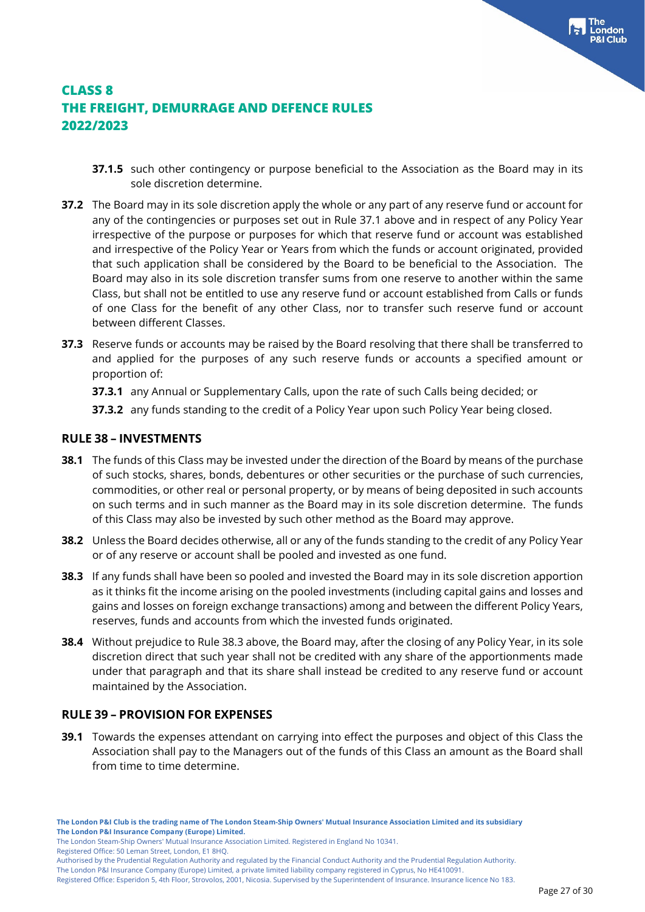- **37.1.5** such other contingency or purpose beneficial to the Association as the Board may in its sole discretion determine.
- **37.2** The Board may in its sole discretion apply the whole or any part of any reserve fund or account for any of the contingencies or purposes set out in Rule 37.1 above and in respect of any Policy Year irrespective of the purpose or purposes for which that reserve fund or account was established and irrespective of the Policy Year or Years from which the funds or account originated, provided that such application shall be considered by the Board to be beneficial to the Association. The Board may also in its sole discretion transfer sums from one reserve to another within the same Class, but shall not be entitled to use any reserve fund or account established from Calls or funds of one Class for the benefit of any other Class, nor to transfer such reserve fund or account between different Classes.
- **37.3** Reserve funds or accounts may be raised by the Board resolving that there shall be transferred to and applied for the purposes of any such reserve funds or accounts a specified amount or proportion of:
	- **37.3.1** any Annual or Supplementary Calls, upon the rate of such Calls being decided; or
	- **37.3.2** any funds standing to the credit of a Policy Year upon such Policy Year being closed.

#### **RULE 38 – INVESTMENTS**

- **38.1** The funds of this Class may be invested under the direction of the Board by means of the purchase of such stocks, shares, bonds, debentures or other securities or the purchase of such currencies, commodities, or other real or personal property, or by means of being deposited in such accounts on such terms and in such manner as the Board may in its sole discretion determine. The funds of this Class may also be invested by such other method as the Board may approve.
- **38.2** Unless the Board decides otherwise, all or any of the funds standing to the credit of any Policy Year or of any reserve or account shall be pooled and invested as one fund.
- **38.3** If any funds shall have been so pooled and invested the Board may in its sole discretion apportion as it thinks fit the income arising on the pooled investments (including capital gains and losses and gains and losses on foreign exchange transactions) among and between the different Policy Years, reserves, funds and accounts from which the invested funds originated.
- **38.4** Without prejudice to Rule 38.3 above, the Board may, after the closing of any Policy Year, in its sole discretion direct that such year shall not be credited with any share of the apportionments made under that paragraph and that its share shall instead be credited to any reserve fund or account maintained by the Association.

#### **RULE 39 – PROVISION FOR EXPENSES**

**39.1** Towards the expenses attendant on carrying into effect the purposes and object of this Class the Association shall pay to the Managers out of the funds of this Class an amount as the Board shall from time to time determine.

The London Steam-Ship Owners' Mutual Insurance Association Limited. Registered in England No 10341.

Registered Office: 50 Leman Street, London, E1 8HQ.

Authorised by the Prudential Regulation Authority and regulated by the Financial Conduct Authority and the Prudential Regulation Authority.

The London P&I Insurance Company (Europe) Limited, a private limited liability company registered in Cyprus, No HE410091.

Registered Office: Esperidon 5, 4th Floor, Strovolos, 2001, Nicosia. Supervised by the Superintendent of Insurance. Insurance licence No 183.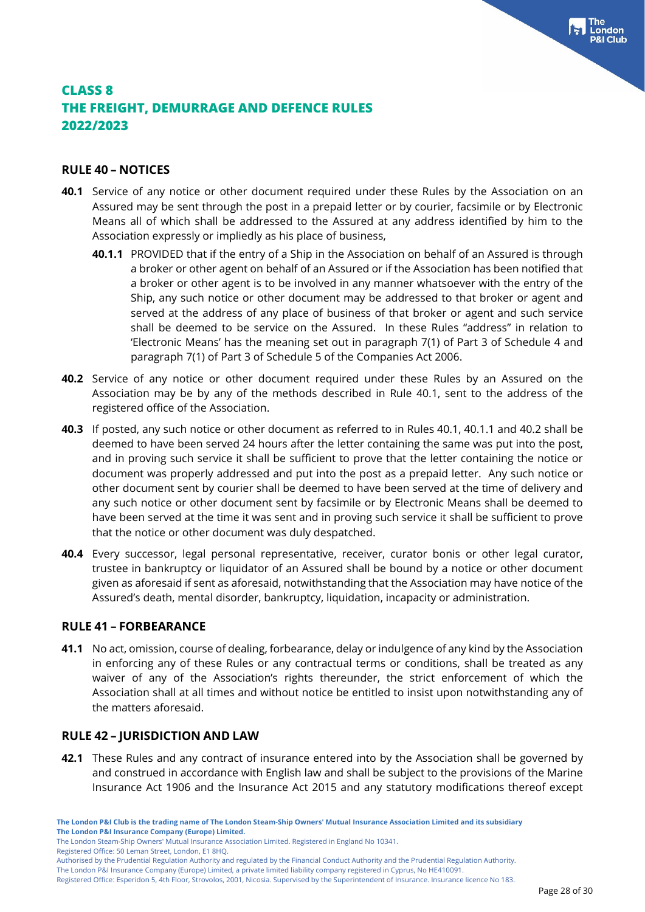#### **RULE 40 – NOTICES**

- **40.1** Service of any notice or other document required under these Rules by the Association on an Assured may be sent through the post in a prepaid letter or by courier, facsimile or by Electronic Means all of which shall be addressed to the Assured at any address identified by him to the Association expressly or impliedly as his place of business,
	- **40.1.1** PROVIDED that if the entry of a Ship in the Association on behalf of an Assured is through a broker or other agent on behalf of an Assured or if the Association has been notified that a broker or other agent is to be involved in any manner whatsoever with the entry of the Ship, any such notice or other document may be addressed to that broker or agent and served at the address of any place of business of that broker or agent and such service shall be deemed to be service on the Assured. In these Rules "address" in relation to 'Electronic Means' has the meaning set out in paragraph 7(1) of Part 3 of Schedule 4 and paragraph 7(1) of Part 3 of Schedule 5 of the Companies Act 2006.
- **40.2** Service of any notice or other document required under these Rules by an Assured on the Association may be by any of the methods described in Rule 40.1, sent to the address of the registered office of the Association.
- **40.3** If posted, any such notice or other document as referred to in Rules 40.1, 40.1.1 and 40.2 shall be deemed to have been served 24 hours after the letter containing the same was put into the post, and in proving such service it shall be sufficient to prove that the letter containing the notice or document was properly addressed and put into the post as a prepaid letter. Any such notice or other document sent by courier shall be deemed to have been served at the time of delivery and any such notice or other document sent by facsimile or by Electronic Means shall be deemed to have been served at the time it was sent and in proving such service it shall be sufficient to prove that the notice or other document was duly despatched.
- **40.4** Every successor, legal personal representative, receiver, curator bonis or other legal curator, trustee in bankruptcy or liquidator of an Assured shall be bound by a notice or other document given as aforesaid if sent as aforesaid, notwithstanding that the Association may have notice of the Assured's death, mental disorder, bankruptcy, liquidation, incapacity or administration.

#### **RULE 41 – FORBEARANCE**

**41.1** No act, omission, course of dealing, forbearance, delay or indulgence of any kind by the Association in enforcing any of these Rules or any contractual terms or conditions, shall be treated as any waiver of any of the Association's rights thereunder, the strict enforcement of which the Association shall at all times and without notice be entitled to insist upon notwithstanding any of the matters aforesaid.

#### **RULE 42 – JURISDICTION AND LAW**

**42.1** These Rules and any contract of insurance entered into by the Association shall be governed by and construed in accordance with English law and shall be subject to the provisions of the Marine Insurance Act 1906 and the Insurance Act 2015 and any statutory modifications thereof except

The London Steam-Ship Owners' Mutual Insurance Association Limited. Registered in England No 10341.

Registered Office: 50 Leman Street, London, E1 8HQ.

Authorised by the Prudential Regulation Authority and regulated by the Financial Conduct Authority and the Prudential Regulation Authority.

The London P&I Insurance Company (Europe) Limited, a private limited liability company registered in Cyprus, No HE410091.

Registered Office: Esperidon 5, 4th Floor, Strovolos, 2001, Nicosia. Supervised by the Superintendent of Insurance. Insurance licence No 183.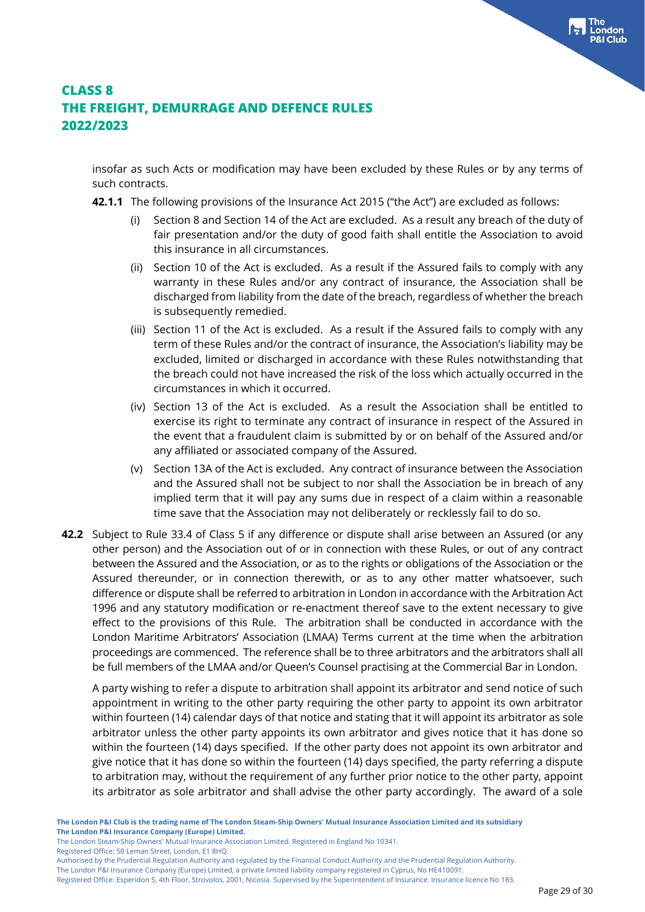insofar as such Acts or modification may have been excluded by these Rules or by any terms of such contracts.

- **42.1.1** The following provisions of the Insurance Act 2015 ("the Act") are excluded as follows:
	- (i) Section 8 and Section 14 of the Act are excluded. As a result any breach of the duty of fair presentation and/or the duty of good faith shall entitle the Association to avoid this insurance in all circumstances.
	- (ii) Section 10 of the Act is excluded. As a result if the Assured fails to comply with any warranty in these Rules and/or any contract of insurance, the Association shall be discharged from liability from the date of the breach, regardless of whether the breach is subsequently remedied.
	- (iii) Section 11 of the Act is excluded. As a result if the Assured fails to comply with any term of these Rules and/or the contract of insurance, the Association's liability may be excluded, limited or discharged in accordance with these Rules notwithstanding that the breach could not have increased the risk of the loss which actually occurred in the circumstances in which it occurred.
	- (iv) Section 13 of the Act is excluded. As a result the Association shall be entitled to exercise its right to terminate any contract of insurance in respect of the Assured in the event that a fraudulent claim is submitted by or on behalf of the Assured and/or any affiliated or associated company of the Assured.
	- (v) Section 13A of the Act is excluded. Any contract of insurance between the Association and the Assured shall not be subject to nor shall the Association be in breach of any implied term that it will pay any sums due in respect of a claim within a reasonable time save that the Association may not deliberately or recklessly fail to do so.
- **42.2** Subject to Rule 33.4 of Class 5 if any difference or dispute shall arise between an Assured (or any other person) and the Association out of or in connection with these Rules, or out of any contract between the Assured and the Association, or as to the rights or obligations of the Association or the Assured thereunder, or in connection therewith, or as to any other matter whatsoever, such difference or dispute shall be referred to arbitration in London in accordance with the Arbitration Act 1996 and any statutory modification or re-enactment thereof save to the extent necessary to give effect to the provisions of this Rule. The arbitration shall be conducted in accordance with the London Maritime Arbitrators' Association (LMAA) Terms current at the time when the arbitration proceedings are commenced. The reference shall be to three arbitrators and the arbitrators shall all be full members of the LMAA and/or Queen's Counsel practising at the Commercial Bar in London.

A party wishing to refer a dispute to arbitration shall appoint its arbitrator and send notice of such appointment in writing to the other party requiring the other party to appoint its own arbitrator within fourteen (14) calendar days of that notice and stating that it will appoint its arbitrator as sole arbitrator unless the other party appoints its own arbitrator and gives notice that it has done so within the fourteen (14) days specified. If the other party does not appoint its own arbitrator and give notice that it has done so within the fourteen (14) days specified, the party referring a dispute to arbitration may, without the requirement of any further prior notice to the other party, appoint its arbitrator as sole arbitrator and shall advise the other party accordingly. The award of a sole

Registered Office: 50 Leman Street, London, E1 8HQ.

The London Steam-Ship Owners' Mutual Insurance Association Limited. Registered in England No 10341.

Authorised by the Prudential Regulation Authority and regulated by the Financial Conduct Authority and the Prudential Regulation Authority.

The London P&I Insurance Company (Europe) Limited, a private limited liability company registered in Cyprus, No HE410091.

Registered Office: Esperidon 5, 4th Floor, Strovolos, 2001, Nicosia. Supervised by the Superintendent of Insurance. Insurance licence No 183.